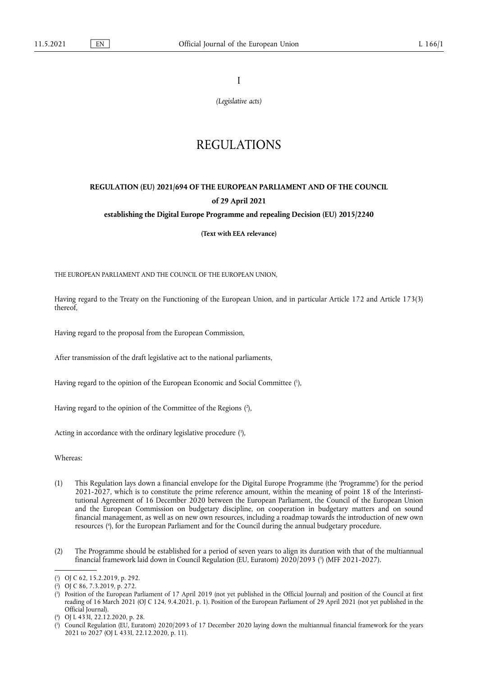I

*(Legislative acts)*

# REGULATIONS

## **REGULATION (EU) 2021/694 OF THE EUROPEAN PARLIAMENT AND OF THE COUNCIL of 29 April 2021**

## **establishing the Digital Europe Programme and repealing Decision (EU) 2015/2240**

**(Text with EEA relevance)** 

THE EUROPEAN PARLIAMENT AND THE COUNCIL OF THE EUROPEAN UNION,

Having regard to the Treaty on the Functioning of the European Union, and in particular Article 172 and Article 173(3) thereof,

Having regard to the proposal from the European Commission,

After transmission of the draft legislative act to the national parliaments,

Having regard to the opinion of the European Economic and Social Committee ( 1 ),

Having regard to the opinion of the Committee of the Regions ( 2 ),

Acting in accordance with the ordinary legislative procedure ( 3 ),

Whereas:

- (1) This Regulation lays down a financial envelope for the Digital Europe Programme (the 'Programme') for the period 2021-2027, which is to constitute the prime reference amount, within the meaning of point 18 of the Interinstitutional Agreement of 16 December 2020 between the European Parliament, the Council of the European Union and the European Commission on budgetary discipline, on cooperation in budgetary matters and on sound financial management, as well as on new own resources, including a roadmap towards the introduction of new own resources ( 4 ), for the European Parliament and for the Council during the annual budgetary procedure.
- (2) The Programme should be established for a period of seven years to align its duration with that of the multiannual financial framework laid down in Council Regulation (EU, Euratom) 2020/2093 ( 5 ) (MFF 2021-2027).

( 3 ) Position of the European Parliament of 17 April 2019 (not yet published in the Official Journal) and position of the Council at first reading of 16 March 2021 (OJ C 124, 9.4.2021, p. 1). Position of the European Parliament of 29 April 2021 (not yet published in the Official Journal).

<sup>(</sup> 1 ) OJ C 62, 15.2.2019, p. 292.

<sup>(</sup> 2 ) OJ C 86, 7.3.2019, p. 272.

<sup>(</sup> 4 ) OJ L 433I, 22.12.2020, p. 28.

<sup>(</sup> 5 ) Council Regulation (EU, Euratom) 2020/2093 of 17 December 2020 laying down the multiannual financial framework for the years 2021 to 2027 (OJ L 433I, 22.12.2020, p. 11).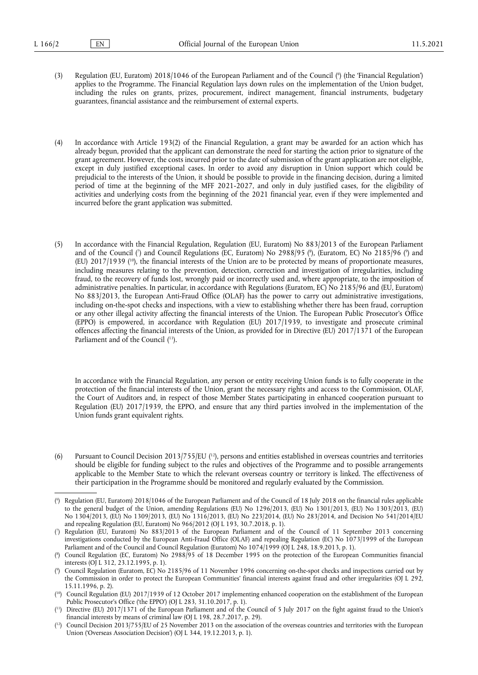- (3) Regulation (EU, Euratom) 2018/1046 of the European Parliament and of the Council (<sup>6</sup>) (the 'Financial Regulation') applies to the Programme. The Financial Regulation lays down rules on the implementation of the Union budget, including the rules on grants, prizes, procurement, indirect management, financial instruments, budgetary guarantees, financial assistance and the reimbursement of external experts.
- (4) In accordance with Article 193(2) of the Financial Regulation, a grant may be awarded for an action which has already begun, provided that the applicant can demonstrate the need for starting the action prior to signature of the grant agreement. However, the costs incurred prior to the date of submission of the grant application are not eligible, except in duly justified exceptional cases. In order to avoid any disruption in Union support which could be prejudicial to the interests of the Union, it should be possible to provide in the financing decision, during a limited period of time at the beginning of the MFF 2021-2027, and only in duly justified cases, for the eligibility of activities and underlying costs from the beginning of the 2021 financial year, even if they were implemented and incurred before the grant application was submitted.
- (5) In accordance with the Financial Regulation, Regulation (EU, Euratom) No 883/2013 of the European Parliament and of the Council (') and Council Regulations (EC, Euratom) No 2988/95 (\*), (Euratom, EC) No 2185/96 (\*) and (EU)  $2017/1939$  (<sup>10</sup>), the financial interests of the Union are to be protected by means of proportionate measures, including measures relating to the prevention, detection, correction and investigation of irregularities, including fraud, to the recovery of funds lost, wrongly paid or incorrectly used and, where appropriate, to the imposition of administrative penalties. In particular, in accordance with Regulations (Euratom, EC) No 2185/96 and (EU, Euratom) No 883/2013, the European Anti-Fraud Office (OLAF) has the power to carry out administrative investigations, including on-the-spot checks and inspections, with a view to establishing whether there has been fraud, corruption or any other illegal activity affecting the financial interests of the Union. The European Public Prosecutor's Office (EPPO) is empowered, in accordance with Regulation (EU) 2017/1939, to investigate and prosecute criminal offences affecting the financial interests of the Union, as provided for in Directive (EU) 2017/1371 of the European Parliament and of the Council ( 11).

In accordance with the Financial Regulation, any person or entity receiving Union funds is to fully cooperate in the protection of the financial interests of the Union, grant the necessary rights and access to the Commission, OLAF, the Court of Auditors and, in respect of those Member States participating in enhanced cooperation pursuant to Regulation (EU) 2017/1939, the EPPO, and ensure that any third parties involved in the implementation of the Union funds grant equivalent rights.

(6) Pursuant to Council Decision 2013/755/EU  $(12)$ , persons and entities established in overseas countries and territories should be eligible for funding subject to the rules and objectives of the Programme and to possible arrangements applicable to the Member State to which the relevant overseas country or territory is linked. The effectiveness of their participation in the Programme should be monitored and regularly evaluated by the Commission.

<sup>(</sup> 6 ) Regulation (EU, Euratom) 2018/1046 of the European Parliament and of the Council of 18 July 2018 on the financial rules applicable to the general budget of the Union, amending Regulations (EU) No 1296/2013, (EU) No 1301/2013, (EU) No 1303/2013, (EU) No 1304/2013, (EU) No 1309/2013, (EU) No 1316/2013, (EU) No 223/2014, (EU) No 283/2014, and Decision No 541/2014/EU and repealing Regulation (EU, Euratom) No 966/2012 (OJ L 193, 30.7.2018, p. 1).

<sup>(</sup> 7 ) Regulation (EU, Euratom) No 883/2013 of the European Parliament and of the Council of 11 September 2013 concerning investigations conducted by the European Anti-Fraud Office (OLAF) and repealing Regulation (EC) No 1073/1999 of the European Parliament and of the Council and Council Regulation (Euratom) No 1074/1999 (OJ L 248, 18.9.2013, p. 1).

<sup>(</sup> 8 ) Council Regulation (EC, Euratom) No 2988/95 of 18 December 1995 on the protection of the European Communities financial interests (OJ L 312, 23.12.1995, p. 1).

<sup>(</sup> 9 ) Council Regulation (Euratom, EC) No 2185/96 of 11 November 1996 concerning on-the-spot checks and inspections carried out by the Commission in order to protect the European Communities' financial interests against fraud and other irregularities (OJ L 292, 15.11.1996, p. 2).

<sup>(</sup> 10) Council Regulation (EU) 2017/1939 of 12 October 2017 implementing enhanced cooperation on the establishment of the European Public Prosecutor's Office ('the EPPO') (OJ L 283, 31.10.2017, p. 1).

<sup>(</sup> 11) Directive (EU) 2017/1371 of the European Parliament and of the Council of 5 July 2017 on the fight against fraud to the Union's financial interests by means of criminal law (OJ L 198, 28.7.2017, p. 29).

<sup>(</sup> 12) Council Decision 2013/755/EU of 25 November 2013 on the association of the overseas countries and territories with the European Union ('Overseas Association Decision') (OJ L 344, 19.12.2013, p. 1).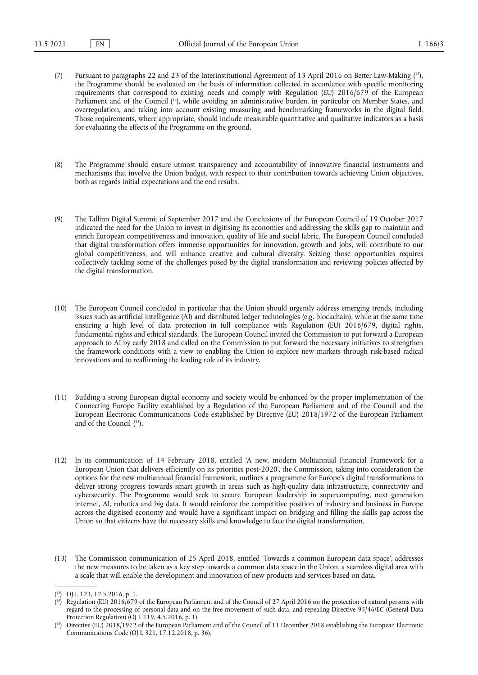- (7) Pursuant to paragraphs 22 and 23 of the Interinstitutional Agreement of 13 April 2016 on Better Law-Making ( 13), the Programme should be evaluated on the basis of information collected in accordance with specific monitoring requirements that correspond to existing needs and comply with Regulation (EU) 2016/679 of the European Parliament and of the Council ( 14), while avoiding an administrative burden, in particular on Member States, and overregulation, and taking into account existing measuring and benchmarking frameworks in the digital field. Those requirements, where appropriate, should include measurable quantitative and qualitative indicators as a basis for evaluating the effects of the Programme on the ground.
- (8) The Programme should ensure utmost transparency and accountability of innovative financial instruments and mechanisms that involve the Union budget, with respect to their contribution towards achieving Union objectives, both as regards initial expectations and the end results.
- (9) The Tallinn Digital Summit of September 2017 and the Conclusions of the European Council of 19 October 2017 indicated the need for the Union to invest in digitising its economies and addressing the skills gap to maintain and enrich European competitiveness and innovation, quality of life and social fabric. The European Council concluded that digital transformation offers immense opportunities for innovation, growth and jobs, will contribute to our global competitiveness, and will enhance creative and cultural diversity. Seizing those opportunities requires collectively tackling some of the challenges posed by the digital transformation and reviewing policies affected by the digital transformation.
- (10) The European Council concluded in particular that the Union should urgently address emerging trends, including issues such as artificial intelligence (AI) and distributed ledger technologies (e.g. blockchain), while at the same time ensuring a high level of data protection in full compliance with Regulation (EU) 2016/679, digital rights, fundamental rights and ethical standards. The European Council invited the Commission to put forward a European approach to AI by early 2018 and called on the Commission to put forward the necessary initiatives to strengthen the framework conditions with a view to enabling the Union to explore new markets through risk-based radical innovations and to reaffirming the leading role of its industry.
- (11) Building a strong European digital economy and society would be enhanced by the proper implementation of the Connecting Europe Facility established by a Regulation of the European Parliament and of the Council and the European Electronic Communications Code established by Directive (EU) 2018/1972 of the European Parliament and of the Council ( 15).
- (12) In its communication of 14 February 2018, entitled 'A new, modern Multiannual Financial Framework for a European Union that delivers efficiently on its priorities post-2020', the Commission, taking into consideration the options for the new multiannual financial framework, outlines a programme for Europe's digital transformations to deliver strong progress towards smart growth in areas such as high-quality data infrastructure, connectivity and cybersecurity. The Programme would seek to secure European leadership in supercomputing, next generation internet, AI, robotics and big data. It would reinforce the competitive position of industry and business in Europe across the digitised economy and would have a significant impact on bridging and filling the skills gap across the Union so that citizens have the necessary skills and knowledge to face the digital transformation.
- (13) The Commission communication of 25 April 2018, entitled 'Towards a common European data space', addresses the new measures to be taken as a key step towards a common data space in the Union, a seamless digital area with a scale that will enable the development and innovation of new products and services based on data.

<sup>(</sup> 13) OJ L 123, 12.5.2016, p. 1.

<sup>(</sup> 14) Regulation (EU) 2016/679 of the European Parliament and of the Council of 27 April 2016 on the protection of natural persons with regard to the processing of personal data and on the free movement of such data, and repealing Directive 95/46/EC (General Data Protection Regulation) (OJ L 119, 4.5.2016, p. 1).

<sup>(</sup> 15) Directive (EU) 2018/1972 of the European Parliament and of the Council of 11 December 2018 establishing the European Electronic Communications Code (OJ L 321, 17.12.2018, p. 36).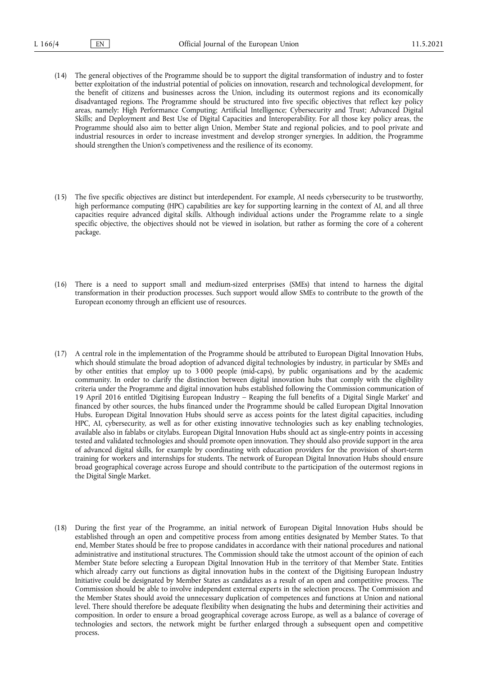- (14) The general objectives of the Programme should be to support the digital transformation of industry and to foster better exploitation of the industrial potential of policies on innovation, research and technological development, for the benefit of citizens and businesses across the Union, including its outermost regions and its economically disadvantaged regions. The Programme should be structured into five specific objectives that reflect key policy areas, namely: High Performance Computing; Artificial Intelligence; Cybersecurity and Trust; Advanced Digital Skills; and Deployment and Best Use of Digital Capacities and Interoperability. For all those key policy areas, the Programme should also aim to better align Union, Member State and regional policies, and to pool private and industrial resources in order to increase investment and develop stronger synergies. In addition, the Programme should strengthen the Union's competiveness and the resilience of its economy.
- (15) The five specific objectives are distinct but interdependent. For example, AI needs cybersecurity to be trustworthy, high performance computing (HPC) capabilities are key for supporting learning in the context of AI, and all three capacities require advanced digital skills. Although individual actions under the Programme relate to a single specific objective, the objectives should not be viewed in isolation, but rather as forming the core of a coherent package.
- (16) There is a need to support small and medium-sized enterprises (SMEs) that intend to harness the digital transformation in their production processes. Such support would allow SMEs to contribute to the growth of the European economy through an efficient use of resources.
- (17) A central role in the implementation of the Programme should be attributed to European Digital Innovation Hubs, which should stimulate the broad adoption of advanced digital technologies by industry, in particular by SMEs and by other entities that employ up to 3 000 people (mid-caps), by public organisations and by the academic community. In order to clarify the distinction between digital innovation hubs that comply with the eligibility criteria under the Programme and digital innovation hubs established following the Commission communication of 19 April 2016 entitled 'Digitising European Industry – Reaping the full benefits of a Digital Single Market' and financed by other sources, the hubs financed under the Programme should be called European Digital Innovation Hubs. European Digital Innovation Hubs should serve as access points for the latest digital capacities, including HPC, AI, cybersecurity, as well as for other existing innovative technologies such as key enabling technologies, available also in fablabs or citylabs. European Digital Innovation Hubs should act as single-entry points in accessing tested and validated technologies and should promote open innovation. They should also provide support in the area of advanced digital skills, for example by coordinating with education providers for the provision of short-term training for workers and internships for students. The network of European Digital Innovation Hubs should ensure broad geographical coverage across Europe and should contribute to the participation of the outermost regions in the Digital Single Market.
- (18) During the first year of the Programme, an initial network of European Digital Innovation Hubs should be established through an open and competitive process from among entities designated by Member States. To that end, Member States should be free to propose candidates in accordance with their national procedures and national administrative and institutional structures. The Commission should take the utmost account of the opinion of each Member State before selecting a European Digital Innovation Hub in the territory of that Member State. Entities which already carry out functions as digital innovation hubs in the context of the Digitising European Industry Initiative could be designated by Member States as candidates as a result of an open and competitive process. The Commission should be able to involve independent external experts in the selection process. The Commission and the Member States should avoid the unnecessary duplication of competences and functions at Union and national level. There should therefore be adequate flexibility when designating the hubs and determining their activities and composition. In order to ensure a broad geographical coverage across Europe, as well as a balance of coverage of technologies and sectors, the network might be further enlarged through a subsequent open and competitive process.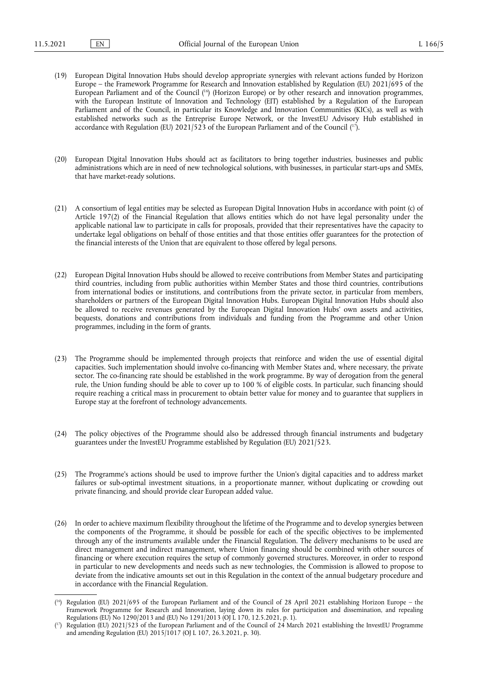- (19) European Digital Innovation Hubs should develop appropriate synergies with relevant actions funded by Horizon Europe – the Framework Programme for Research and Innovation established by Regulation (EU) 2021/695 of the European Parliament and of the Council ( 16) (Horizon Europe) or by other research and innovation programmes, with the European Institute of Innovation and Technology (EIT) established by a Regulation of the European Parliament and of the Council, in particular its Knowledge and Innovation Communities (KICs), as well as with established networks such as the Entreprise Europe Network, or the InvestEU Advisory Hub established in accordance with Regulation (EU) 2021/523 of the European Parliament and of the Council ( 17).
- (20) European Digital Innovation Hubs should act as facilitators to bring together industries, businesses and public administrations which are in need of new technological solutions, with businesses, in particular start-ups and SMEs, that have market-ready solutions.
- (21) A consortium of legal entities may be selected as European Digital Innovation Hubs in accordance with point (c) of Article 197(2) of the Financial Regulation that allows entities which do not have legal personality under the applicable national law to participate in calls for proposals, provided that their representatives have the capacity to undertake legal obligations on behalf of those entities and that those entities offer guarantees for the protection of the financial interests of the Union that are equivalent to those offered by legal persons.
- (22) European Digital Innovation Hubs should be allowed to receive contributions from Member States and participating third countries, including from public authorities within Member States and those third countries, contributions from international bodies or institutions, and contributions from the private sector, in particular from members, shareholders or partners of the European Digital Innovation Hubs. European Digital Innovation Hubs should also be allowed to receive revenues generated by the European Digital Innovation Hubs' own assets and activities, bequests, donations and contributions from individuals and funding from the Programme and other Union programmes, including in the form of grants.
- (23) The Programme should be implemented through projects that reinforce and widen the use of essential digital capacities. Such implementation should involve co-financing with Member States and, where necessary, the private sector. The co-financing rate should be established in the work programme. By way of derogation from the general rule, the Union funding should be able to cover up to 100 % of eligible costs. In particular, such financing should require reaching a critical mass in procurement to obtain better value for money and to guarantee that suppliers in Europe stay at the forefront of technology advancements.
- (24) The policy objectives of the Programme should also be addressed through financial instruments and budgetary guarantees under the InvestEU Programme established by Regulation (EU) 2021/523.
- (25) The Programme's actions should be used to improve further the Union's digital capacities and to address market failures or sub-optimal investment situations, in a proportionate manner, without duplicating or crowding out private financing, and should provide clear European added value.
- (26) In order to achieve maximum flexibility throughout the lifetime of the Programme and to develop synergies between the components of the Programme, it should be possible for each of the specific objectives to be implemented through any of the instruments available under the Financial Regulation. The delivery mechanisms to be used are direct management and indirect management, where Union financing should be combined with other sources of financing or where execution requires the setup of commonly governed structures. Moreover, in order to respond in particular to new developments and needs such as new technologies, the Commission is allowed to propose to deviate from the indicative amounts set out in this Regulation in the context of the annual budgetary procedure and in accordance with the Financial Regulation.

<sup>(</sup> 16) Regulation (EU) 2021/695 of the European Parliament and of the Council of 28 April 2021 establishing Horizon Europe – the Framework Programme for Research and Innovation, laying down its rules for participation and dissemination, and repealing Regulations (EU) No 1290/2013 and (EU) No 1291/2013 (OJ L 170, 12.5.2021, p. 1).

<sup>(</sup> 17) Regulation (EU) 2021/523 of the European Parliament and of the Council of 24 March 2021 establishing the InvestEU Programme and amending Regulation (EU) 2015/1017 (OJ L 107, 26.3.2021, p. 30).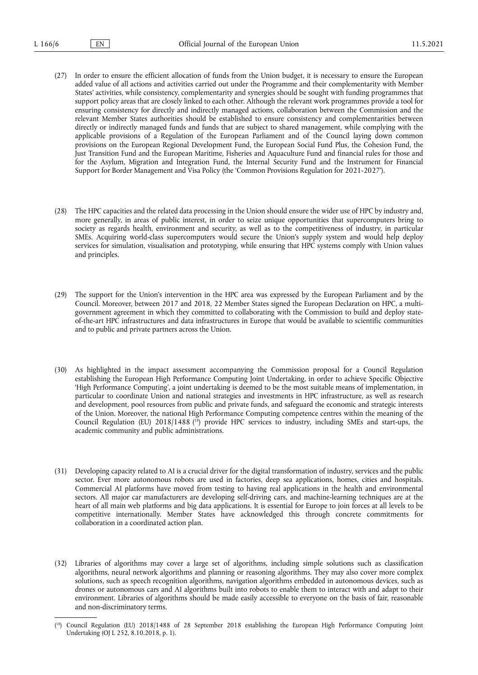- (27) In order to ensure the efficient allocation of funds from the Union budget, it is necessary to ensure the European added value of all actions and activities carried out under the Programme and their complementarity with Member States' activities, while consistency, complementarity and synergies should be sought with funding programmes that support policy areas that are closely linked to each other. Although the relevant work programmes provide a tool for ensuring consistency for directly and indirectly managed actions, collaboration between the Commission and the relevant Member States authorities should be established to ensure consistency and complementarities between directly or indirectly managed funds and funds that are subject to shared management, while complying with the applicable provisions of a Regulation of the European Parliament and of the Council laying down common provisions on the European Regional Development Fund, the European Social Fund Plus, the Cohesion Fund, the Just Transition Fund and the European Maritime, Fisheries and Aquaculture Fund and financial rules for those and for the Asylum, Migration and Integration Fund, the Internal Security Fund and the Instrument for Financial Support for Border Management and Visa Policy (the 'Common Provisions Regulation for 2021-2027').
- (28) The HPC capacities and the related data processing in the Union should ensure the wider use of HPC by industry and, more generally, in areas of public interest, in order to seize unique opportunities that supercomputers bring to society as regards health, environment and security, as well as to the competitiveness of industry, in particular SMEs. Acquiring world-class supercomputers would secure the Union's supply system and would help deploy services for simulation, visualisation and prototyping, while ensuring that HPC systems comply with Union values and principles.
- (29) The support for the Union's intervention in the HPC area was expressed by the European Parliament and by the Council. Moreover, between 2017 and 2018, 22 Member States signed the European Declaration on HPC, a multigovernment agreement in which they committed to collaborating with the Commission to build and deploy stateof-the-art HPC infrastructures and data infrastructures in Europe that would be available to scientific communities and to public and private partners across the Union.
- (30) As highlighted in the impact assessment accompanying the Commission proposal for a Council Regulation establishing the European High Performance Computing Joint Undertaking, in order to achieve Specific Objective 'High Performance Computing', a joint undertaking is deemed to be the most suitable means of implementation, in particular to coordinate Union and national strategies and investments in HPC infrastructure, as well as research and development, pool resources from public and private funds, and safeguard the economic and strategic interests of the Union. Moreover, the national High Performance Computing competence centres within the meaning of the Council Regulation (EU) 2018/1488 (<sup>18</sup>) provide HPC services to industry, including SMEs and start-ups, the academic community and public administrations.
- (31) Developing capacity related to AI is a crucial driver for the digital transformation of industry, services and the public sector. Ever more autonomous robots are used in factories, deep sea applications, homes, cities and hospitals. Commercial AI platforms have moved from testing to having real applications in the health and environmental sectors. All major car manufacturers are developing self-driving cars, and machine-learning techniques are at the heart of all main web platforms and big data applications. It is essential for Europe to join forces at all levels to be competitive internationally. Member States have acknowledged this through concrete commitments for collaboration in a coordinated action plan.
- (32) Libraries of algorithms may cover a large set of algorithms, including simple solutions such as classification algorithms, neural network algorithms and planning or reasoning algorithms. They may also cover more complex solutions, such as speech recognition algorithms, navigation algorithms embedded in autonomous devices, such as drones or autonomous cars and AI algorithms built into robots to enable them to interact with and adapt to their environment. Libraries of algorithms should be made easily accessible to everyone on the basis of fair, reasonable and non-discriminatory terms.

<sup>(</sup> 18) Council Regulation (EU) 2018/1488 of 28 September 2018 establishing the European High Performance Computing Joint Undertaking (OJ L 252, 8.10.2018, p. 1).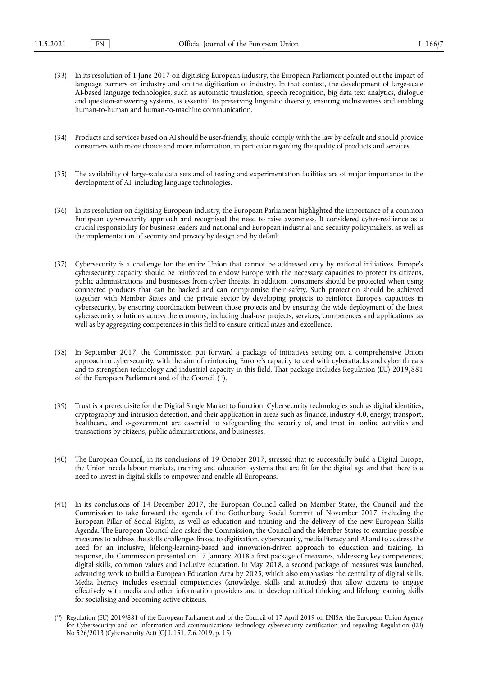- (33) In its resolution of 1 June 2017 on digitising European industry, the European Parliament pointed out the impact of language barriers on industry and on the digitisation of industry. In that context, the development of large-scale AI-based language technologies, such as automatic translation, speech recognition, big data text analytics, dialogue and question-answering systems, is essential to preserving linguistic diversity, ensuring inclusiveness and enabling human-to-human and human-to-machine communication.
- (34) Products and services based on AI should be user-friendly, should comply with the law by default and should provide consumers with more choice and more information, in particular regarding the quality of products and services.
- (35) The availability of large-scale data sets and of testing and experimentation facilities are of major importance to the development of AI, including language technologies.
- (36) In its resolution on digitising European industry, the European Parliament highlighted the importance of a common European cybersecurity approach and recognised the need to raise awareness. It considered cyber-resilience as a crucial responsibility for business leaders and national and European industrial and security policymakers, as well as the implementation of security and privacy by design and by default.
- (37) Cybersecurity is a challenge for the entire Union that cannot be addressed only by national initiatives. Europe's cybersecurity capacity should be reinforced to endow Europe with the necessary capacities to protect its citizens, public administrations and businesses from cyber threats. In addition, consumers should be protected when using connected products that can be hacked and can compromise their safety. Such protection should be achieved together with Member States and the private sector by developing projects to reinforce Europe's capacities in cybersecurity, by ensuring coordination between those projects and by ensuring the wide deployment of the latest cybersecurity solutions across the economy, including dual-use projects, services, competences and applications, as well as by aggregating competences in this field to ensure critical mass and excellence.
- (38) In September 2017, the Commission put forward a package of initiatives setting out a comprehensive Union approach to cybersecurity, with the aim of reinforcing Europe's capacity to deal with cyberattacks and cyber threats and to strengthen technology and industrial capacity in this field. That package includes Regulation (EU) 2019/881 of the European Parliament and of the Council ( 19).
- (39) Trust is a prerequisite for the Digital Single Market to function. Cybersecurity technologies such as digital identities, cryptography and intrusion detection, and their application in areas such as finance, industry 4.0, energy, transport, healthcare, and e-government are essential to safeguarding the security of, and trust in, online activities and transactions by citizens, public administrations, and businesses.
- (40) The European Council, in its conclusions of 19 October 2017, stressed that to successfully build a Digital Europe, the Union needs labour markets, training and education systems that are fit for the digital age and that there is a need to invest in digital skills to empower and enable all Europeans.
- (41) In its conclusions of 14 December 2017, the European Council called on Member States, the Council and the Commission to take forward the agenda of the Gothenburg Social Summit of November 2017, including the European Pillar of Social Rights, as well as education and training and the delivery of the new European Skills Agenda. The European Council also asked the Commission, the Council and the Member States to examine possible measures to address the skills challenges linked to digitisation, cybersecurity, media literacy and AI and to address the need for an inclusive, lifelong-learning-based and innovation-driven approach to education and training. In response, the Commission presented on 17 January 2018 a first package of measures, addressing key competences, digital skills, common values and inclusive education. In May 2018, a second package of measures was launched, advancing work to build a European Education Area by 2025, which also emphasises the centrality of digital skills. Media literacy includes essential competencies (knowledge, skills and attitudes) that allow citizens to engage effectively with media and other information providers and to develop critical thinking and lifelong learning skills for socialising and becoming active citizens.

<sup>(</sup> 19) Regulation (EU) 2019/881 of the European Parliament and of the Council of 17 April 2019 on ENISA (the European Union Agency for Cybersecurity) and on information and communications technology cybersecurity certification and repealing Regulation (EU) No 526/2013 (Cybersecurity Act) (OJ L 151, 7.6.2019, p. 15).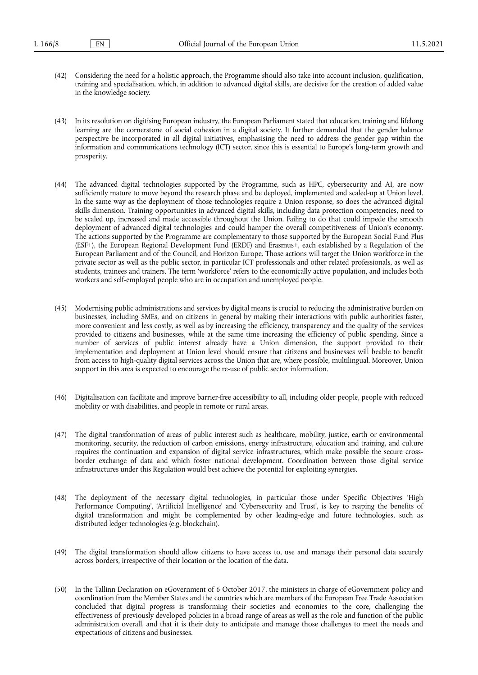- (42) Considering the need for a holistic approach, the Programme should also take into account inclusion, qualification, training and specialisation, which, in addition to advanced digital skills, are decisive for the creation of added value in the knowledge society.
- (43) In its resolution on digitising European industry, the European Parliament stated that education, training and lifelong learning are the cornerstone of social cohesion in a digital society. It further demanded that the gender balance perspective be incorporated in all digital initiatives, emphasising the need to address the gender gap within the information and communications technology (ICT) sector, since this is essential to Europe's long-term growth and prosperity.
- (44) The advanced digital technologies supported by the Programme, such as HPC, cybersecurity and AI, are now sufficiently mature to move beyond the research phase and be deployed, implemented and scaled-up at Union level. In the same way as the deployment of those technologies require a Union response, so does the advanced digital skills dimension. Training opportunities in advanced digital skills, including data protection competencies, need to be scaled up, increased and made accessible throughout the Union. Failing to do that could impede the smooth deployment of advanced digital technologies and could hamper the overall competitiveness of Union's economy. The actions supported by the Programme are complementary to those supported by the European Social Fund Plus (ESF+), the European Regional Development Fund (ERDF) and Erasmus+, each established by a Regulation of the European Parliament and of the Council, and Horizon Europe. Those actions will target the Union workforce in the private sector as well as the public sector, in particular ICT professionals and other related professionals, as well as students, trainees and trainers. The term 'workforce' refers to the economically active population, and includes both workers and self-employed people who are in occupation and unemployed people.
- (45) Modernising public administrations and services by digital means is crucial to reducing the administrative burden on businesses, including SMEs, and on citizens in general by making their interactions with public authorities faster, more convenient and less costly, as well as by increasing the efficiency, transparency and the quality of the services provided to citizens and businesses, while at the same time increasing the efficiency of public spending. Since a number of services of public interest already have a Union dimension, the support provided to their implementation and deployment at Union level should ensure that citizens and businesses will beable to benefit from access to high-quality digital services across the Union that are, where possible, multilingual. Moreover, Union support in this area is expected to encourage the re-use of public sector information.
- (46) Digitalisation can facilitate and improve barrier-free accessibility to all, including older people, people with reduced mobility or with disabilities, and people in remote or rural areas.
- (47) The digital transformation of areas of public interest such as healthcare, mobility, justice, earth or environmental monitoring, security, the reduction of carbon emissions, energy infrastructure, education and training, and culture requires the continuation and expansion of digital service infrastructures, which make possible the secure crossborder exchange of data and which foster national development. Coordination between those digital service infrastructures under this Regulation would best achieve the potential for exploiting synergies.
- (48) The deployment of the necessary digital technologies, in particular those under Specific Objectives 'High Performance Computing', 'Artificial Intelligence' and 'Cybersecurity and Trust', is key to reaping the benefits of digital transformation and might be complemented by other leading-edge and future technologies, such as distributed ledger technologies (e.g. blockchain).
- (49) The digital transformation should allow citizens to have access to, use and manage their personal data securely across borders, irrespective of their location or the location of the data.
- (50) In the Tallinn Declaration on eGovernment of 6 October 2017, the ministers in charge of eGovernment policy and coordination from the Member States and the countries which are members of the European Free Trade Association concluded that digital progress is transforming their societies and economies to the core, challenging the effectiveness of previously developed policies in a broad range of areas as well as the role and function of the public administration overall, and that it is their duty to anticipate and manage those challenges to meet the needs and expectations of citizens and businesses.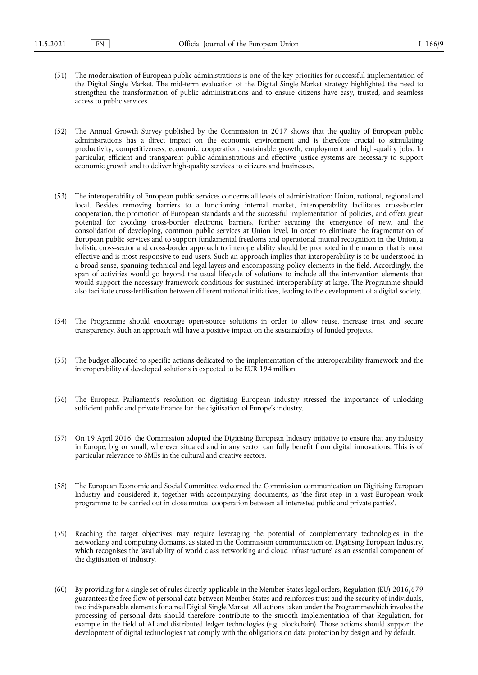- (51) The modernisation of European public administrations is one of the key priorities for successful implementation of the Digital Single Market. The mid-term evaluation of the Digital Single Market strategy highlighted the need to strengthen the transformation of public administrations and to ensure citizens have easy, trusted, and seamless access to public services.
- (52) The Annual Growth Survey published by the Commission in 2017 shows that the quality of European public administrations has a direct impact on the economic environment and is therefore crucial to stimulating productivity, competitiveness, economic cooperation, sustainable growth, employment and high-quality jobs. In particular, efficient and transparent public administrations and effective justice systems are necessary to support economic growth and to deliver high-quality services to citizens and businesses.
- (53) The interoperability of European public services concerns all levels of administration: Union, national, regional and local. Besides removing barriers to a functioning internal market, interoperability facilitates cross-border cooperation, the promotion of European standards and the successful implementation of policies, and offers great potential for avoiding cross-border electronic barriers, further securing the emergence of new, and the consolidation of developing, common public services at Union level. In order to eliminate the fragmentation of European public services and to support fundamental freedoms and operational mutual recognition in the Union, a holistic cross-sector and cross-border approach to interoperability should be promoted in the manner that is most effective and is most responsive to end-users. Such an approach implies that interoperability is to be understood in a broad sense, spanning technical and legal layers and encompassing policy elements in the field. Accordingly, the span of activities would go beyond the usual lifecycle of solutions to include all the intervention elements that would support the necessary framework conditions for sustained interoperability at large. The Programme should also facilitate cross-fertilisation between different national initiatives, leading to the development of a digital society.
- (54) The Programme should encourage open-source solutions in order to allow reuse, increase trust and secure transparency. Such an approach will have a positive impact on the sustainability of funded projects.
- (55) The budget allocated to specific actions dedicated to the implementation of the interoperability framework and the interoperability of developed solutions is expected to be EUR 194 million.
- (56) The European Parliament's resolution on digitising European industry stressed the importance of unlocking sufficient public and private finance for the digitisation of Europe's industry.
- (57) On 19 April 2016, the Commission adopted the Digitising European Industry initiative to ensure that any industry in Europe, big or small, wherever situated and in any sector can fully benefit from digital innovations. This is of particular relevance to SMEs in the cultural and creative sectors.
- (58) The European Economic and Social Committee welcomed the Commission communication on Digitising European Industry and considered it, together with accompanying documents, as 'the first step in a vast European work programme to be carried out in close mutual cooperation between all interested public and private parties'.
- (59) Reaching the target objectives may require leveraging the potential of complementary technologies in the networking and computing domains, as stated in the Commission communication on Digitising European Industry, which recognises the 'availability of world class networking and cloud infrastructure' as an essential component of the digitisation of industry.
- (60) By providing for a single set of rules directly applicable in the Member States legal orders, Regulation (EU) 2016/679 guarantees the free flow of personal data between Member States and reinforces trust and the security of individuals, two indispensable elements for a real Digital Single Market. All actions taken under the Programmewhich involve the processing of personal data should therefore contribute to the smooth implementation of that Regulation, for example in the field of AI and distributed ledger technologies (e.g. blockchain). Those actions should support the development of digital technologies that comply with the obligations on data protection by design and by default.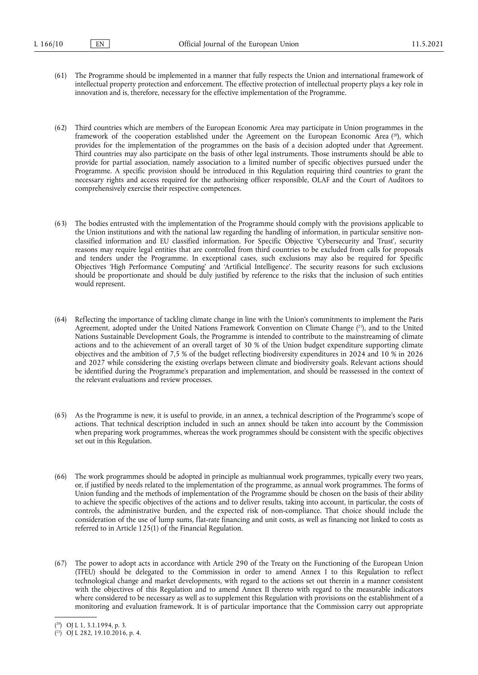(61) The Programme should be implemented in a manner that fully respects the Union and international framework of intellectual property protection and enforcement. The effective protection of intellectual property plays a key role in innovation and is, therefore, necessary for the effective implementation of the Programme.

(62) Third countries which are members of the European Economic Area may participate in Union programmes in the framework of the cooperation established under the Agreement on the European Economic Area (<sup>20</sup>), which provides for the implementation of the programmes on the basis of a decision adopted under that Agreement. Third countries may also participate on the basis of other legal instruments. Those instruments should be able to provide for partial association, namely association to a limited number of specific objectives pursued under the Programme. A specific provision should be introduced in this Regulation requiring third countries to grant the necessary rights and access required for the authorising officer responsible, OLAF and the Court of Auditors to comprehensively exercise their respective competences.

- (63) The bodies entrusted with the implementation of the Programme should comply with the provisions applicable to the Union institutions and with the national law regarding the handling of information, in particular sensitive nonclassified information and EU classified information. For Specific Objective 'Cybersecurity and Trust', security reasons may require legal entities that are controlled from third countries to be excluded from calls for proposals and tenders under the Programme. In exceptional cases, such exclusions may also be required for Specific Objectives 'High Performance Computing' and 'Artificial Intelligence'. The security reasons for such exclusions should be proportionate and should be duly justified by reference to the risks that the inclusion of such entities would represent.
- (64) Reflecting the importance of tackling climate change in line with the Union's commitments to implement the Paris Agreement, adopted under the United Nations Framework Convention on Climate Change (<sup>21</sup>), and to the United Nations Sustainable Development Goals, the Programme is intended to contribute to the mainstreaming of climate actions and to the achievement of an overall target of 30 % of the Union budget expenditure supporting climate objectives and the ambition of 7,5 % of the budget reflecting biodiversity expenditures in 2024 and 10 % in 2026 and 2027 while considering the existing overlaps between climate and biodiversity goals. Relevant actions should be identified during the Programme's preparation and implementation, and should be reassessed in the context of the relevant evaluations and review processes.
- (65) As the Programme is new, it is useful to provide, in an annex, a technical description of the Programme's scope of actions. That technical description included in such an annex should be taken into account by the Commission when preparing work programmes, whereas the work programmes should be consistent with the specific objectives set out in this Regulation.
- (66) The work programmes should be adopted in principle as multiannual work programmes, typically every two years, or, if justified by needs related to the implementation of the programme, as annual work programmes. The forms of Union funding and the methods of implementation of the Programme should be chosen on the basis of their ability to achieve the specific objectives of the actions and to deliver results, taking into account, in particular, the costs of controls, the administrative burden, and the expected risk of non-compliance. That choice should include the consideration of the use of lump sums, flat-rate financing and unit costs, as well as financing not linked to costs as referred to in Article 125(1) of the Financial Regulation.
- (67) The power to adopt acts in accordance with Article 290 of the Treaty on the Functioning of the European Union (TFEU) should be delegated to the Commission in order to amend Annex I to this Regulation to reflect technological change and market developments, with regard to the actions set out therein in a manner consistent with the objectives of this Regulation and to amend Annex II thereto with regard to the measurable indicators where considered to be necessary as well as to supplement this Regulation with provisions on the establishment of a monitoring and evaluation framework. It is of particular importance that the Commission carry out appropriate

<sup>(</sup> 20) OJ L 1, 3.1.1994, p. 3.

<sup>(</sup> 21) OJ L 282, 19.10.2016, p. 4.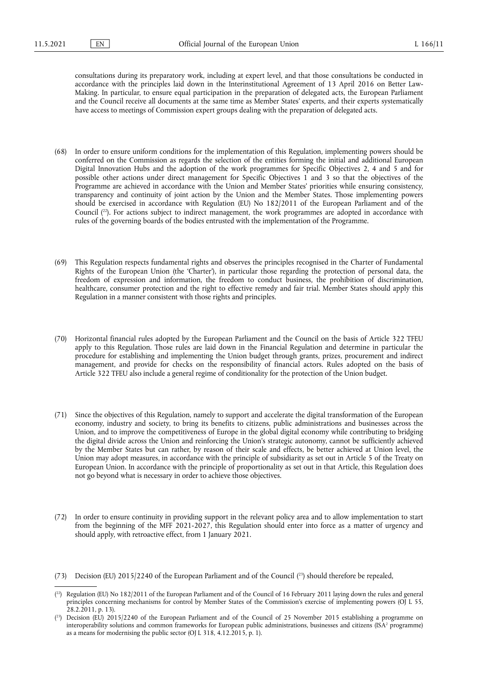consultations during its preparatory work, including at expert level, and that those consultations be conducted in accordance with the principles laid down in the Interinstitutional Agreement of 13 April 2016 on Better Law-Making. In particular, to ensure equal participation in the preparation of delegated acts, the European Parliament and the Council receive all documents at the same time as Member States' experts, and their experts systematically have access to meetings of Commission expert groups dealing with the preparation of delegated acts.

- (68) In order to ensure uniform conditions for the implementation of this Regulation, implementing powers should be conferred on the Commission as regards the selection of the entities forming the initial and additional European Digital Innovation Hubs and the adoption of the work programmes for Specific Objectives 2, 4 and 5 and for possible other actions under direct management for Specific Objectives 1 and 3 so that the objectives of the Programme are achieved in accordance with the Union and Member States' priorities while ensuring consistency, transparency and continuity of joint action by the Union and the Member States. Those implementing powers should be exercised in accordance with Regulation (EU) No 182/2011 of the European Parliament and of the Council ( 22). For actions subject to indirect management, the work programmes are adopted in accordance with rules of the governing boards of the bodies entrusted with the implementation of the Programme.
- (69) This Regulation respects fundamental rights and observes the principles recognised in the Charter of Fundamental Rights of the European Union (the 'Charter'), in particular those regarding the protection of personal data, the freedom of expression and information, the freedom to conduct business, the prohibition of discrimination, healthcare, consumer protection and the right to effective remedy and fair trial. Member States should apply this Regulation in a manner consistent with those rights and principles.
- (70) Horizontal financial rules adopted by the European Parliament and the Council on the basis of Article 322 TFEU apply to this Regulation. Those rules are laid down in the Financial Regulation and determine in particular the procedure for establishing and implementing the Union budget through grants, prizes, procurement and indirect management, and provide for checks on the responsibility of financial actors. Rules adopted on the basis of Article 322 TFEU also include a general regime of conditionality for the protection of the Union budget.
- (71) Since the objectives of this Regulation, namely to support and accelerate the digital transformation of the European economy, industry and society, to bring its benefits to citizens, public administrations and businesses across the Union, and to improve the competitiveness of Europe in the global digital economy while contributing to bridging the digital divide across the Union and reinforcing the Union's strategic autonomy, cannot be sufficiently achieved by the Member States but can rather, by reason of their scale and effects, be better achieved at Union level, the Union may adopt measures, in accordance with the principle of subsidiarity as set out in Article 5 of the Treaty on European Union. In accordance with the principle of proportionality as set out in that Article, this Regulation does not go beyond what is necessary in order to achieve those objectives.
- (72) In order to ensure continuity in providing support in the relevant policy area and to allow implementation to start from the beginning of the MFF 2021-2027, this Regulation should enter into force as a matter of urgency and should apply, with retroactive effect, from 1 January 2021.

<sup>(73)</sup> Decision (EU) 2015/2240 of the European Parliament and of the Council ( 23) should therefore be repealed,

<sup>(</sup> 22) Regulation (EU) No 182/2011 of the European Parliament and of the Council of 16 February 2011 laying down the rules and general principles concerning mechanisms for control by Member States of the Commission's exercise of implementing powers (OJ L 55,  $28.2.2011$ , p. 13).

<sup>(</sup> 23) Decision (EU) 2015/2240 of the European Parliament and of the Council of 25 November 2015 establishing a programme on interoperability solutions and common frameworks for European public administrations, businesses and citizens (ISA<sup>2</sup> programme) as a means for modernising the public sector (OJ L 318, 4.12.2015, p. 1).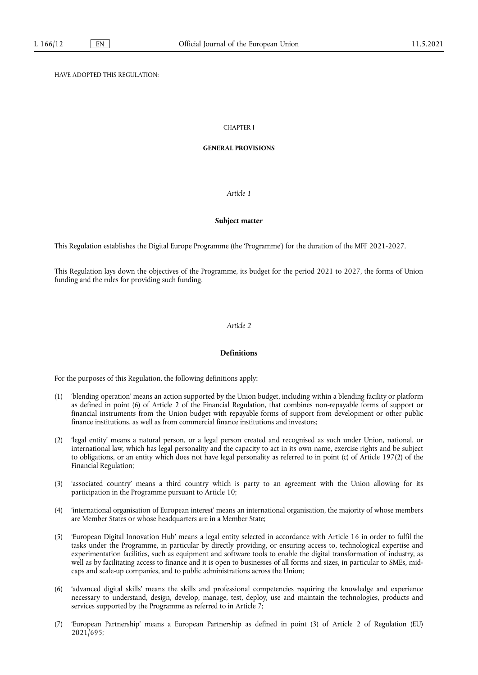## HAVE ADOPTED THIS REGULATION:

#### CHAPTER I

#### **GENERAL PROVISIONS**

## *Article 1*

## **Subject matter**

This Regulation establishes the Digital Europe Programme (the 'Programme') for the duration of the MFF 2021-2027.

This Regulation lays down the objectives of the Programme, its budget for the period 2021 to 2027, the forms of Union funding and the rules for providing such funding.

#### *Article 2*

#### **Definitions**

For the purposes of this Regulation, the following definitions apply:

- (1) 'blending operation' means an action supported by the Union budget, including within a blending facility or platform as defined in point (6) of Article 2 of the Financial Regulation, that combines non-repayable forms of support or financial instruments from the Union budget with repayable forms of support from development or other public finance institutions, as well as from commercial finance institutions and investors;
- (2) 'legal entity' means a natural person, or a legal person created and recognised as such under Union, national, or international law, which has legal personality and the capacity to act in its own name, exercise rights and be subject to obligations, or an entity which does not have legal personality as referred to in point (c) of Article 197(2) of the Financial Regulation;
- (3) 'associated country' means a third country which is party to an agreement with the Union allowing for its participation in the Programme pursuant to Article 10;
- (4) 'international organisation of European interest' means an international organisation, the majority of whose members are Member States or whose headquarters are in a Member State;
- (5) 'European Digital Innovation Hub' means a legal entity selected in accordance with Article 16 in order to fulfil the tasks under the Programme, in particular by directly providing, or ensuring access to, technological expertise and experimentation facilities, such as equipment and software tools to enable the digital transformation of industry, as well as by facilitating access to finance and it is open to businesses of all forms and sizes, in particular to SMEs, midcaps and scale-up companies, and to public administrations across the Union;
- (6) 'advanced digital skills' means the skills and professional competencies requiring the knowledge and experience necessary to understand, design, develop, manage, test, deploy, use and maintain the technologies, products and services supported by the Programme as referred to in Article 7;
- (7) 'European Partnership' means a European Partnership as defined in point (3) of Article 2 of Regulation (EU) 2021/695;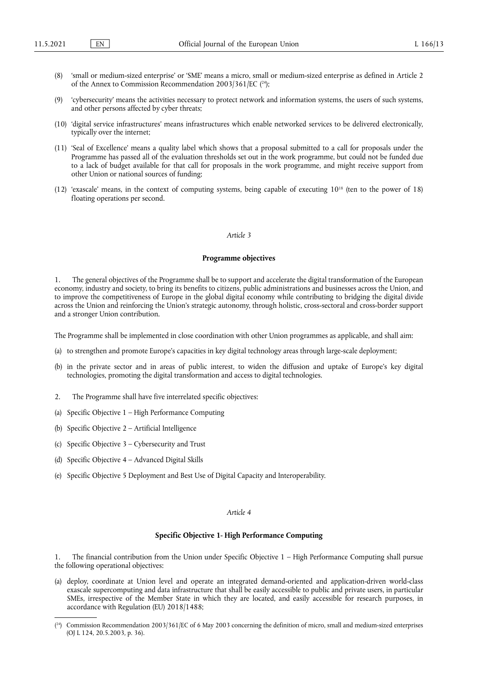- (8) 'small or medium-sized enterprise' or 'SME' means a micro, small or medium-sized enterprise as defined in Article 2 of the Annex to Commission Recommendation 2003/361/EC (24);
- (9) 'cybersecurity' means the activities necessary to protect network and information systems, the users of such systems, and other persons affected by cyber threats;
- (10) 'digital service infrastructures' means infrastructures which enable networked services to be delivered electronically, typically over the internet;
- (11) 'Seal of Excellence' means a quality label which shows that a proposal submitted to a call for proposals under the Programme has passed all of the evaluation thresholds set out in the work programme, but could not be funded due to a lack of budget available for that call for proposals in the work programme, and might receive support from other Union or national sources of funding;
- (12) 'exascale' means, in the context of computing systems, being capable of executing 1018 (ten to the power of 18) floating operations per second.

#### **Programme objectives**

1. The general objectives of the Programme shall be to support and accelerate the digital transformation of the European economy, industry and society, to bring its benefits to citizens, public administrations and businesses across the Union, and to improve the competitiveness of Europe in the global digital economy while contributing to bridging the digital divide across the Union and reinforcing the Union's strategic autonomy, through holistic, cross-sectoral and cross-border support and a stronger Union contribution.

The Programme shall be implemented in close coordination with other Union programmes as applicable, and shall aim:

- (a) to strengthen and promote Europe's capacities in key digital technology areas through large-scale deployment;
- (b) in the private sector and in areas of public interest, to widen the diffusion and uptake of Europe's key digital technologies, promoting the digital transformation and access to digital technologies.
- 2. The Programme shall have five interrelated specific objectives:
- (a) Specific Objective 1 High Performance Computing
- (b) Specific Objective 2 Artificial Intelligence
- (c) Specific Objective 3 Cybersecurity and Trust
- (d) Specific Objective 4 Advanced Digital Skills
- (e) Specific Objective 5 Deployment and Best Use of Digital Capacity and Interoperability.

#### *Article 4*

#### **Specific Objective 1- High Performance Computing**

1. The financial contribution from the Union under Specific Objective 1 – High Performance Computing shall pursue the following operational objectives:

(a) deploy, coordinate at Union level and operate an integrated demand-oriented and application-driven world-class exascale supercomputing and data infrastructure that shall be easily accessible to public and private users, in particular SMEs, irrespective of the Member State in which they are located, and easily accessible for research purposes, in accordance with Regulation (EU) 2018/1488;

<sup>(</sup> 24) Commission Recommendation 2003/361/EC of 6 May 2003 concerning the definition of micro, small and medium-sized enterprises (OJ L 124, 20.5.2003, p. 36).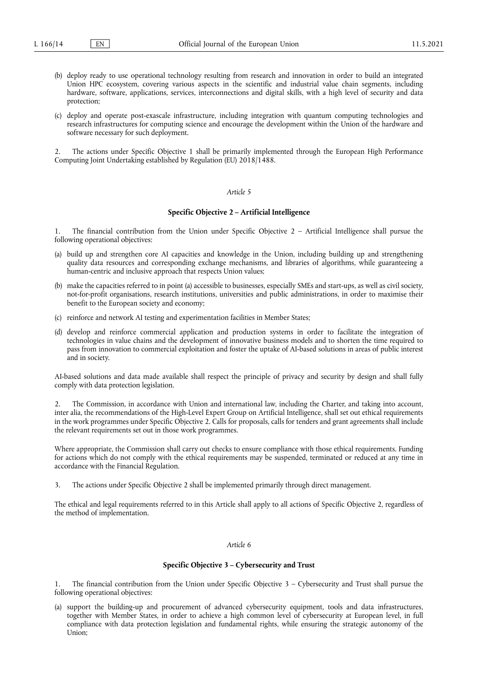- (b) deploy ready to use operational technology resulting from research and innovation in order to build an integrated Union HPC ecosystem, covering various aspects in the scientific and industrial value chain segments, including hardware, software, applications, services, interconnections and digital skills, with a high level of security and data protection;
- (c) deploy and operate post-exascale infrastructure, including integration with quantum computing technologies and research infrastructures for computing science and encourage the development within the Union of the hardware and software necessary for such deployment.

2. The actions under Specific Objective 1 shall be primarily implemented through the European High Performance Computing Joint Undertaking established by Regulation (EU) 2018/1488.

## *Article 5*

#### **Specific Objective 2 – Artificial Intelligence**

The financial contribution from the Union under Specific Objective  $2 -$  Artificial Intelligence shall pursue the following operational objectives:

- (a) build up and strengthen core AI capacities and knowledge in the Union, including building up and strengthening quality data resources and corresponding exchange mechanisms, and libraries of algorithms, while guaranteeing a human-centric and inclusive approach that respects Union values;
- (b) make the capacities referred to in point (a) accessible to businesses, especially SMEs and start-ups, as well as civil society, not-for-profit organisations, research institutions, universities and public administrations, in order to maximise their benefit to the European society and economy;
- (c) reinforce and network AI testing and experimentation facilities in Member States;
- (d) develop and reinforce commercial application and production systems in order to facilitate the integration of technologies in value chains and the development of innovative business models and to shorten the time required to pass from innovation to commercial exploitation and foster the uptake of AI-based solutions in areas of public interest and in society.

AI-based solutions and data made available shall respect the principle of privacy and security by design and shall fully comply with data protection legislation.

2. The Commission, in accordance with Union and international law, including the Charter, and taking into account, inter alia, the recommendations of the High-Level Expert Group on Artificial Intelligence, shall set out ethical requirements in the work programmes under Specific Objective 2. Calls for proposals, calls for tenders and grant agreements shall include the relevant requirements set out in those work programmes.

Where appropriate, the Commission shall carry out checks to ensure compliance with those ethical requirements. Funding for actions which do not comply with the ethical requirements may be suspended, terminated or reduced at any time in accordance with the Financial Regulation.

3. The actions under Specific Objective 2 shall be implemented primarily through direct management.

The ethical and legal requirements referred to in this Article shall apply to all actions of Specific Objective 2, regardless of the method of implementation.

#### *Article 6*

## **Specific Objective 3 – Cybersecurity and Trust**

The financial contribution from the Union under Specific Objective  $3 -$ Cybersecurity and Trust shall pursue the following operational objectives:

(a) support the building-up and procurement of advanced cybersecurity equipment, tools and data infrastructures, together with Member States, in order to achieve a high common level of cybersecurity at European level, in full compliance with data protection legislation and fundamental rights, while ensuring the strategic autonomy of the Union;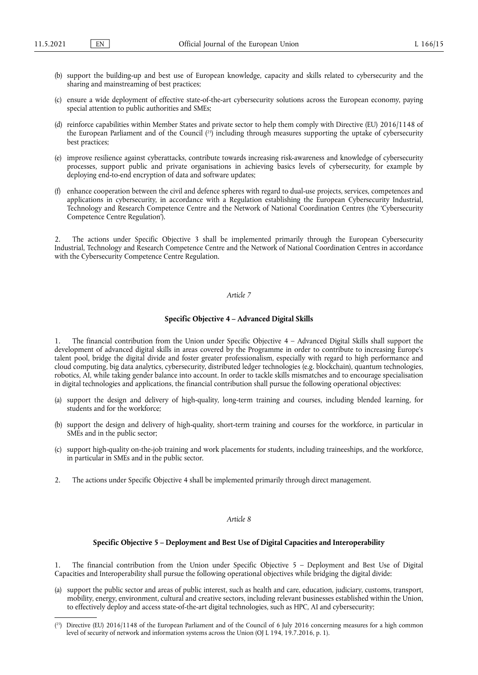- (b) support the building-up and best use of European knowledge, capacity and skills related to cybersecurity and the sharing and mainstreaming of best practices;
- (c) ensure a wide deployment of effective state-of-the-art cybersecurity solutions across the European economy, paying special attention to public authorities and SMEs;
- (d) reinforce capabilities within Member States and private sector to help them comply with Directive (EU) 2016/1148 of the European Parliament and of the Council ( 25) including through measures supporting the uptake of cybersecurity best practices;
- (e) improve resilience against cyberattacks, contribute towards increasing risk-awareness and knowledge of cybersecurity processes, support public and private organisations in achieving basics levels of cybersecurity, for example by deploying end-to-end encryption of data and software updates;
- (f) enhance cooperation between the civil and defence spheres with regard to dual-use projects, services, competences and applications in cybersecurity, in accordance with a Regulation establishing the European Cybersecurity Industrial, Technology and Research Competence Centre and the Network of National Coordination Centres (the 'Cybersecurity Competence Centre Regulation').

2. The actions under Specific Objective 3 shall be implemented primarily through the European Cybersecurity Industrial, Technology and Research Competence Centre and the Network of National Coordination Centres in accordance with the Cybersecurity Competence Centre Regulation.

## *Article 7*

#### **Specific Objective 4 – Advanced Digital Skills**

1. The financial contribution from the Union under Specific Objective 4 – Advanced Digital Skills shall support the development of advanced digital skills in areas covered by the Programme in order to contribute to increasing Europe's talent pool, bridge the digital divide and foster greater professionalism, especially with regard to high performance and cloud computing, big data analytics, cybersecurity, distributed ledger technologies (e.g. blockchain), quantum technologies, robotics, AI, while taking gender balance into account. In order to tackle skills mismatches and to encourage specialisation in digital technologies and applications, the financial contribution shall pursue the following operational objectives:

- (a) support the design and delivery of high-quality, long-term training and courses, including blended learning, for students and for the workforce;
- (b) support the design and delivery of high-quality, short-term training and courses for the workforce, in particular in SMEs and in the public sector;
- (c) support high-quality on-the-job training and work placements for students, including traineeships, and the workforce, in particular in SMEs and in the public sector.
- 2. The actions under Specific Objective 4 shall be implemented primarily through direct management.

#### *Article 8*

#### **Specific Objective 5 – Deployment and Best Use of Digital Capacities and Interoperability**

The financial contribution from the Union under Specific Objective 5 - Deployment and Best Use of Digital Capacities and Interoperability shall pursue the following operational objectives while bridging the digital divide:

(a) support the public sector and areas of public interest, such as health and care, education, judiciary, customs, transport, mobility, energy, environment, cultural and creative sectors, including relevant businesses established within the Union, to effectively deploy and access state-of-the-art digital technologies, such as HPC, AI and cybersecurity;

<sup>(</sup> 25) Directive (EU) 2016/1148 of the European Parliament and of the Council of 6 July 2016 concerning measures for a high common level of security of network and information systems across the Union (OJ L 194, 19.7.2016, p. 1).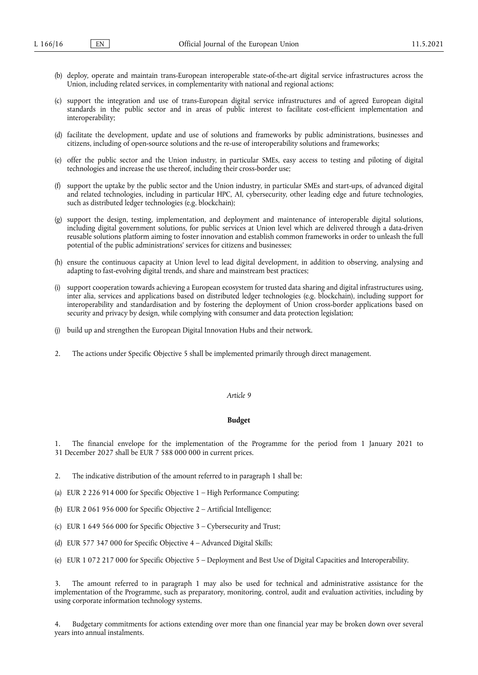- (b) deploy, operate and maintain trans-European interoperable state-of-the-art digital service infrastructures across the Union, including related services, in complementarity with national and regional actions;
- (c) support the integration and use of trans-European digital service infrastructures and of agreed European digital standards in the public sector and in areas of public interest to facilitate cost-efficient implementation and interoperability;
- (d) facilitate the development, update and use of solutions and frameworks by public administrations, businesses and citizens, including of open-source solutions and the re-use of interoperability solutions and frameworks;
- (e) offer the public sector and the Union industry, in particular SMEs, easy access to testing and piloting of digital technologies and increase the use thereof, including their cross-border use;
- (f) support the uptake by the public sector and the Union industry, in particular SMEs and start-ups, of advanced digital and related technologies, including in particular HPC, AI, cybersecurity, other leading edge and future technologies, such as distributed ledger technologies (e.g. blockchain);
- (g) support the design, testing, implementation, and deployment and maintenance of interoperable digital solutions, including digital government solutions, for public services at Union level which are delivered through a data-driven reusable solutions platform aiming to foster innovation and establish common frameworks in order to unleash the full potential of the public administrations' services for citizens and businesses;
- (h) ensure the continuous capacity at Union level to lead digital development, in addition to observing, analysing and adapting to fast-evolving digital trends, and share and mainstream best practices;
- (i) support cooperation towards achieving a European ecosystem for trusted data sharing and digital infrastructures using, inter alia, services and applications based on distributed ledger technologies (e.g. blockchain), including support for interoperability and standardisation and by fostering the deployment of Union cross-border applications based on security and privacy by design, while complying with consumer and data protection legislation;
- (j) build up and strengthen the European Digital Innovation Hubs and their network.
- 2. The actions under Specific Objective 5 shall be implemented primarily through direct management.

#### **Budget**

1. The financial envelope for the implementation of the Programme for the period from 1 January 2021 to 31 December 2027 shall be EUR 7 588 000 000 in current prices.

- 2. The indicative distribution of the amount referred to in paragraph 1 shall be:
- (a) EUR 2 226 914 000 for Specific Objective 1 High Performance Computing;
- (b) EUR 2 061 956 000 for Specific Objective 2 Artificial Intelligence;
- (c) EUR 1 649 566 000 for Specific Objective 3 Cybersecurity and Trust;
- (d) EUR 577 347 000 for Specific Objective 4 Advanced Digital Skills;
- (e) EUR 1 072 217 000 for Specific Objective 5 Deployment and Best Use of Digital Capacities and Interoperability.

The amount referred to in paragraph 1 may also be used for technical and administrative assistance for the implementation of the Programme, such as preparatory, monitoring, control, audit and evaluation activities, including by using corporate information technology systems.

4. Budgetary commitments for actions extending over more than one financial year may be broken down over several years into annual instalments.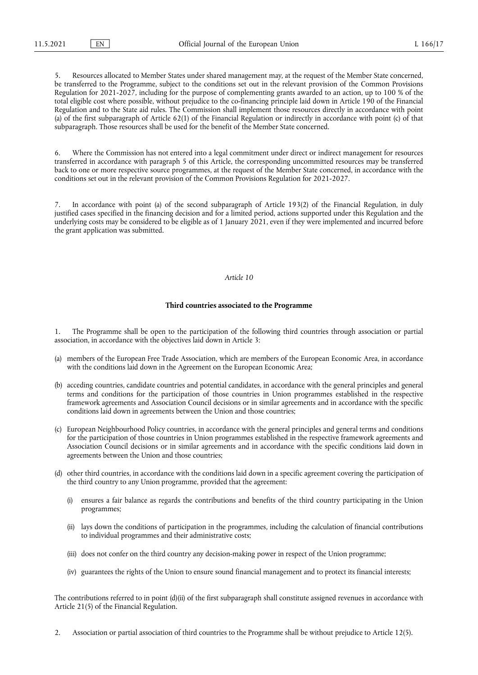5. Resources allocated to Member States under shared management may, at the request of the Member State concerned, be transferred to the Programme, subject to the conditions set out in the relevant provision of the Common Provisions Regulation for 2021-2027, including for the purpose of complementing grants awarded to an action, up to 100 % of the total eligible cost where possible, without prejudice to the co-financing principle laid down in Article 190 of the Financial Regulation and to the State aid rules. The Commission shall implement those resources directly in accordance with point (a) of the first subparagraph of Article 62(1) of the Financial Regulation or indirectly in accordance with point (c) of that subparagraph. Those resources shall be used for the benefit of the Member State concerned.

6. Where the Commission has not entered into a legal commitment under direct or indirect management for resources transferred in accordance with paragraph 5 of this Article, the corresponding uncommitted resources may be transferred back to one or more respective source programmes, at the request of the Member State concerned, in accordance with the conditions set out in the relevant provision of the Common Provisions Regulation for 2021-2027.

7. In accordance with point (a) of the second subparagraph of Article 193(2) of the Financial Regulation, in duly justified cases specified in the financing decision and for a limited period, actions supported under this Regulation and the underlying costs may be considered to be eligible as of 1 January 2021, even if they were implemented and incurred before the grant application was submitted.

## *Article 10*

#### **Third countries associated to the Programme**

1. The Programme shall be open to the participation of the following third countries through association or partial association, in accordance with the objectives laid down in Article 3:

- (a) members of the European Free Trade Association, which are members of the European Economic Area, in accordance with the conditions laid down in the Agreement on the European Economic Area;
- (b) acceding countries, candidate countries and potential candidates, in accordance with the general principles and general terms and conditions for the participation of those countries in Union programmes established in the respective framework agreements and Association Council decisions or in similar agreements and in accordance with the specific conditions laid down in agreements between the Union and those countries;
- (c) European Neighbourhood Policy countries, in accordance with the general principles and general terms and conditions for the participation of those countries in Union programmes established in the respective framework agreements and Association Council decisions or in similar agreements and in accordance with the specific conditions laid down in agreements between the Union and those countries;
- (d) other third countries, in accordance with the conditions laid down in a specific agreement covering the participation of the third country to any Union programme, provided that the agreement:
	- (i) ensures a fair balance as regards the contributions and benefits of the third country participating in the Union programmes;
	- (ii) lays down the conditions of participation in the programmes, including the calculation of financial contributions to individual programmes and their administrative costs;
	- (iii) does not confer on the third country any decision-making power in respect of the Union programme;
	- (iv) guarantees the rights of the Union to ensure sound financial management and to protect its financial interests;

The contributions referred to in point (d)(ii) of the first subparagraph shall constitute assigned revenues in accordance with Article 21(5) of the Financial Regulation.

2. Association or partial association of third countries to the Programme shall be without prejudice to Article 12(5).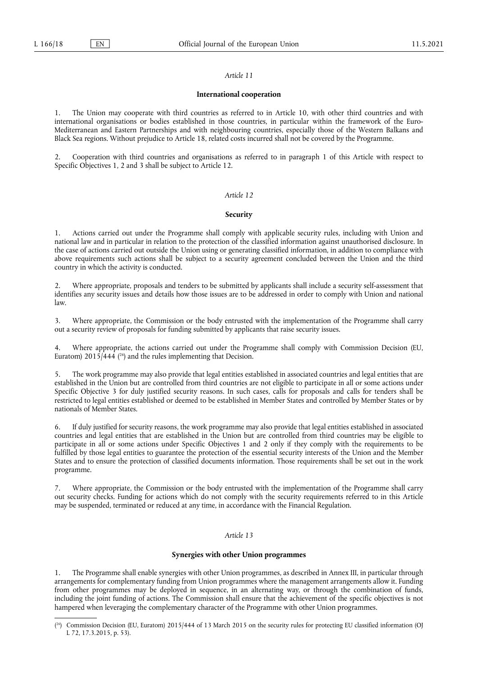#### **International cooperation**

1. The Union may cooperate with third countries as referred to in Article 10, with other third countries and with international organisations or bodies established in those countries, in particular within the framework of the Euro-Mediterranean and Eastern Partnerships and with neighbouring countries, especially those of the Western Balkans and Black Sea regions. Without prejudice to Article 18, related costs incurred shall not be covered by the Programme.

2. Cooperation with third countries and organisations as referred to in paragraph 1 of this Article with respect to Specific Objectives 1, 2 and 3 shall be subject to Article 12.

#### *Article 12*

#### **Security**

1. Actions carried out under the Programme shall comply with applicable security rules, including with Union and national law and in particular in relation to the protection of the classified information against unauthorised disclosure. In the case of actions carried out outside the Union using or generating classified information, in addition to compliance with above requirements such actions shall be subject to a security agreement concluded between the Union and the third country in which the activity is conducted.

2. Where appropriate, proposals and tenders to be submitted by applicants shall include a security self-assessment that identifies any security issues and details how those issues are to be addressed in order to comply with Union and national law.

3. Where appropriate, the Commission or the body entrusted with the implementation of the Programme shall carry out a security review of proposals for funding submitted by applicants that raise security issues.

4. Where appropriate, the actions carried out under the Programme shall comply with Commission Decision (EU, Euratom) 2015/444 ( 26) and the rules implementing that Decision.

5. The work programme may also provide that legal entities established in associated countries and legal entities that are established in the Union but are controlled from third countries are not eligible to participate in all or some actions under Specific Objective 3 for duly justified security reasons. In such cases, calls for proposals and calls for tenders shall be restricted to legal entities established or deemed to be established in Member States and controlled by Member States or by nationals of Member States.

6. If duly justified for security reasons, the work programme may also provide that legal entities established in associated countries and legal entities that are established in the Union but are controlled from third countries may be eligible to participate in all or some actions under Specific Objectives 1 and 2 only if they comply with the requirements to be fulfilled by those legal entities to guarantee the protection of the essential security interests of the Union and the Member States and to ensure the protection of classified documents information. Those requirements shall be set out in the work programme.

7. Where appropriate, the Commission or the body entrusted with the implementation of the Programme shall carry out security checks. Funding for actions which do not comply with the security requirements referred to in this Article may be suspended, terminated or reduced at any time, in accordance with the Financial Regulation.

## *Article 13*

#### **Synergies with other Union programmes**

1. The Programme shall enable synergies with other Union programmes, as described in Annex III, in particular through arrangements for complementary funding from Union programmes where the management arrangements allow it. Funding from other programmes may be deployed in sequence, in an alternating way, or through the combination of funds, including the joint funding of actions. The Commission shall ensure that the achievement of the specific objectives is not hampered when leveraging the complementary character of the Programme with other Union programmes.

<sup>(</sup> 26) Commission Decision (EU, Euratom) 2015/444 of 13 March 2015 on the security rules for protecting EU classified information (OJ L 72, 17.3.2015, p. 53).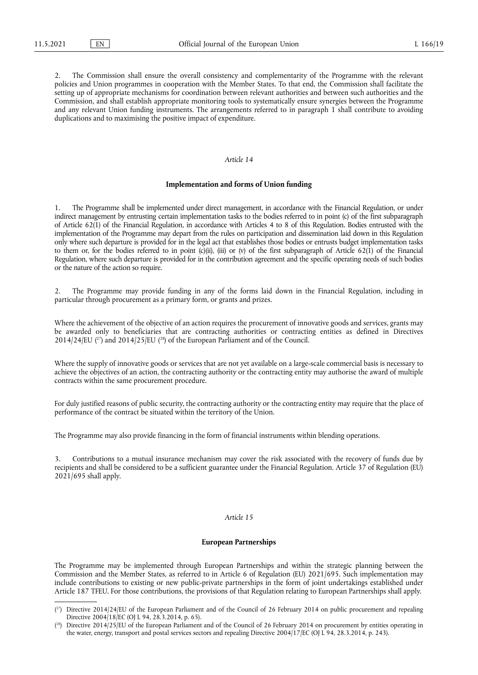2. The Commission shall ensure the overall consistency and complementarity of the Programme with the relevant policies and Union programmes in cooperation with the Member States. To that end, the Commission shall facilitate the setting up of appropriate mechanisms for coordination between relevant authorities and between such authorities and the Commission, and shall establish appropriate monitoring tools to systematically ensure synergies between the Programme and any relevant Union funding instruments. The arrangements referred to in paragraph 1 shall contribute to avoiding duplications and to maximising the positive impact of expenditure.

#### *Article 14*

#### **Implementation and forms of Union funding**

1. The Programme shall be implemented under direct management, in accordance with the Financial Regulation, or under indirect management by entrusting certain implementation tasks to the bodies referred to in point (c) of the first subparagraph of Article 62(1) of the Financial Regulation, in accordance with Articles 4 to 8 of this Regulation. Bodies entrusted with the implementation of the Programme may depart from the rules on participation and dissemination laid down in this Regulation only where such departure is provided for in the legal act that establishes those bodies or entrusts budget implementation tasks to them or, for the bodies referred to in point (c)(ii), (iii) or (v) of the first subparagraph of Article 62(1) of the Financial Regulation, where such departure is provided for in the contribution agreement and the specific operating needs of such bodies or the nature of the action so require.

2. The Programme may provide funding in any of the forms laid down in the Financial Regulation, including in particular through procurement as a primary form, or grants and prizes.

Where the achievement of the objective of an action requires the procurement of innovative goods and services, grants may be awarded only to beneficiaries that are contracting authorities or contracting entities as defined in Directives 2014/24/EU ( $^{27}$ ) and 2014/25/EU ( $^{28}$ ) of the European Parliament and of the Council.

Where the supply of innovative goods or services that are not yet available on a large-scale commercial basis is necessary to achieve the objectives of an action, the contracting authority or the contracting entity may authorise the award of multiple contracts within the same procurement procedure.

For duly justified reasons of public security, the contracting authority or the contracting entity may require that the place of performance of the contract be situated within the territory of the Union.

The Programme may also provide financing in the form of financial instruments within blending operations.

3. Contributions to a mutual insurance mechanism may cover the risk associated with the recovery of funds due by recipients and shall be considered to be a sufficient guarantee under the Financial Regulation. Article 37 of Regulation (EU) 2021/695 shall apply.

#### *Article 15*

## **European Partnerships**

The Programme may be implemented through European Partnerships and within the strategic planning between the Commission and the Member States, as referred to in Article 6 of Regulation (EU) 2021/695. Such implementation may include contributions to existing or new public-private partnerships in the form of joint undertakings established under Article 187 TFEU. For those contributions, the provisions of that Regulation relating to European Partnerships shall apply.

<sup>(</sup> 27) Directive 2014/24/EU of the European Parliament and of the Council of 26 February 2014 on public procurement and repealing Directive 2004/18/EC (OJ L 94, 28.3.2014, p. 65).

<sup>(</sup> 28) Directive 2014/25/EU of the European Parliament and of the Council of 26 February 2014 on procurement by entities operating in the water, energy, transport and postal services sectors and repealing Directive 2004/17/EC (OJ L 94, 28.3.2014, p. 243).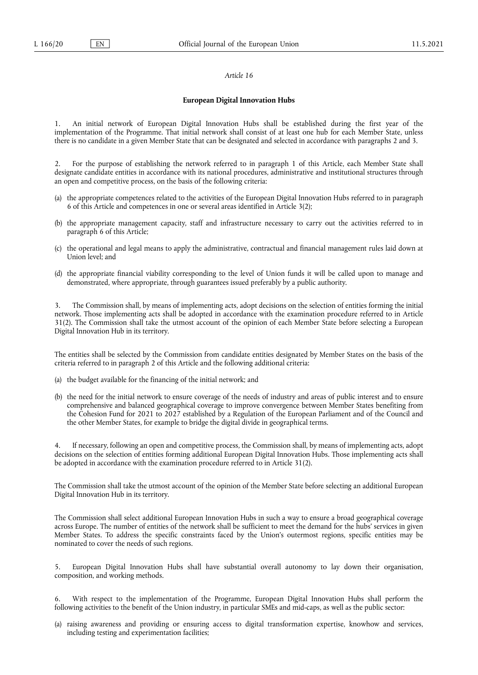## **European Digital Innovation Hubs**

1. An initial network of European Digital Innovation Hubs shall be established during the first year of the implementation of the Programme. That initial network shall consist of at least one hub for each Member State, unless there is no candidate in a given Member State that can be designated and selected in accordance with paragraphs 2 and 3.

2. For the purpose of establishing the network referred to in paragraph 1 of this Article, each Member State shall designate candidate entities in accordance with its national procedures, administrative and institutional structures through an open and competitive process, on the basis of the following criteria:

- (a) the appropriate competences related to the activities of the European Digital Innovation Hubs referred to in paragraph 6 of this Article and competences in one or several areas identified in Article 3(2);
- (b) the appropriate management capacity, staff and infrastructure necessary to carry out the activities referred to in paragraph 6 of this Article;
- (c) the operational and legal means to apply the administrative, contractual and financial management rules laid down at Union level; and
- (d) the appropriate financial viability corresponding to the level of Union funds it will be called upon to manage and demonstrated, where appropriate, through guarantees issued preferably by a public authority.

3. The Commission shall, by means of implementing acts, adopt decisions on the selection of entities forming the initial network. Those implementing acts shall be adopted in accordance with the examination procedure referred to in Article 31(2). The Commission shall take the utmost account of the opinion of each Member State before selecting a European Digital Innovation Hub in its territory.

The entities shall be selected by the Commission from candidate entities designated by Member States on the basis of the criteria referred to in paragraph 2 of this Article and the following additional criteria:

- (a) the budget available for the financing of the initial network; and
- (b) the need for the initial network to ensure coverage of the needs of industry and areas of public interest and to ensure comprehensive and balanced geographical coverage to improve convergence between Member States benefiting from the Cohesion Fund for 2021 to 2027 established by a Regulation of the European Parliament and of the Council and the other Member States, for example to bridge the digital divide in geographical terms.

4. If necessary, following an open and competitive process, the Commission shall, by means of implementing acts, adopt decisions on the selection of entities forming additional European Digital Innovation Hubs. Those implementing acts shall be adopted in accordance with the examination procedure referred to in Article 31(2).

The Commission shall take the utmost account of the opinion of the Member State before selecting an additional European Digital Innovation Hub in its territory.

The Commission shall select additional European Innovation Hubs in such a way to ensure a broad geographical coverage across Europe. The number of entities of the network shall be sufficient to meet the demand for the hubs' services in given Member States. To address the specific constraints faced by the Union's outermost regions, specific entities may be nominated to cover the needs of such regions.

5. European Digital Innovation Hubs shall have substantial overall autonomy to lay down their organisation, composition, and working methods.

6. With respect to the implementation of the Programme, European Digital Innovation Hubs shall perform the following activities to the benefit of the Union industry, in particular SMEs and mid-caps, as well as the public sector:

(a) raising awareness and providing or ensuring access to digital transformation expertise, knowhow and services, including testing and experimentation facilities;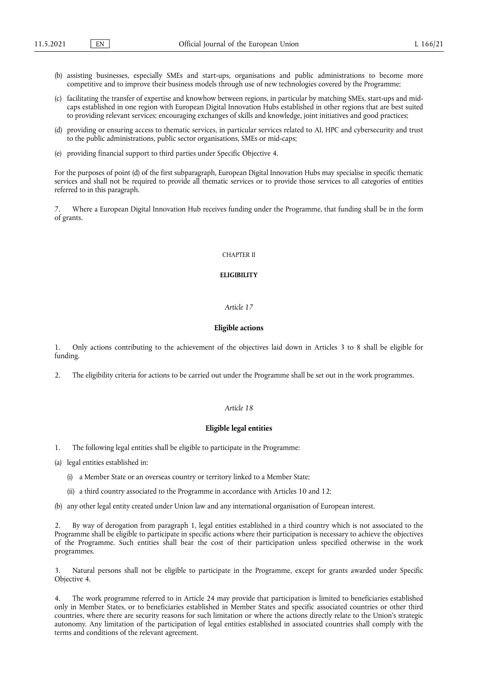- (b) assisting businesses, especially SMEs and start-ups, organisations and public administrations to become more competitive and to improve their business models through use of new technologies covered by the Programme;
- (c) facilitating the transfer of expertise and knowhow between regions, in particular by matching SMEs, start-ups and midcaps established in one region with European Digital Innovation Hubs established in other regions that are best suited to providing relevant services; encouraging exchanges of skills and knowledge, joint initiatives and good practices;
- (d) providing or ensuring access to thematic services, in particular services related to AI, HPC and cybersecurity and trust to the public administrations, public sector organisations, SMEs or mid-caps;
- (e) providing financial support to third parties under Specific Objective 4.

For the purposes of point (d) of the first subparagraph, European Digital Innovation Hubs may specialise in specific thematic services and shall not be required to provide all thematic services or to provide those services to all categories of entities referred to in this paragraph.

7. Where a European Digital Innovation Hub receives funding under the Programme, that funding shall be in the form of grants.

## CHAPTER II

#### **ELIGIBILITY**

#### *Article 17*

## **Eligible actions**

1. Only actions contributing to the achievement of the objectives laid down in Articles 3 to 8 shall be eligible for funding.

2. The eligibility criteria for actions to be carried out under the Programme shall be set out in the work programmes.

## *Article 18*

#### **Eligible legal entities**

1. The following legal entities shall be eligible to participate in the Programme:

- (a) legal entities established in:
	- (i) a Member State or an overseas country or territory linked to a Member State;
	- (ii) a third country associated to the Programme in accordance with Articles 10 and 12;

(b) any other legal entity created under Union law and any international organisation of European interest.

2. By way of derogation from paragraph 1, legal entities established in a third country which is not associated to the Programme shall be eligible to participate in specific actions where their participation is necessary to achieve the objectives of the Programme. Such entities shall bear the cost of their participation unless specified otherwise in the work programmes.

3. Natural persons shall not be eligible to participate in the Programme, except for grants awarded under Specific Objective 4.

4. The work programme referred to in Article 24 may provide that participation is limited to beneficiaries established only in Member States, or to beneficiaries established in Member States and specific associated countries or other third countries, where there are security reasons for such limitation or where the actions directly relate to the Union's strategic autonomy. Any limitation of the participation of legal entities established in associated countries shall comply with the terms and conditions of the relevant agreement.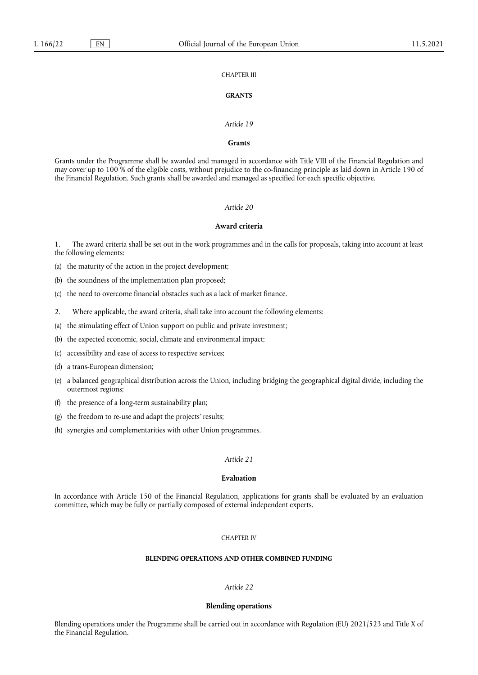## CHAPTER III

## **GRANTS**

#### *Article 19*

## **Grants**

Grants under the Programme shall be awarded and managed in accordance with Title VIII of the Financial Regulation and may cover up to 100 % of the eligible costs, without prejudice to the co-financing principle as laid down in Article 190 of the Financial Regulation. Such grants shall be awarded and managed as specified for each specific objective.

## *Article 20*

## **Award criteria**

1. The award criteria shall be set out in the work programmes and in the calls for proposals, taking into account at least the following elements:

(a) the maturity of the action in the project development;

(b) the soundness of the implementation plan proposed;

(c) the need to overcome financial obstacles such as a lack of market finance.

2. Where applicable, the award criteria, shall take into account the following elements:

(a) the stimulating effect of Union support on public and private investment;

(b) the expected economic, social, climate and environmental impact;

(c) accessibility and ease of access to respective services;

(d) a trans-European dimension;

- (e) a balanced geographical distribution across the Union, including bridging the geographical digital divide, including the outermost regions;
- (f) the presence of a long-term sustainability plan;
- (g) the freedom to re-use and adapt the projects' results;
- (h) synergies and complementarities with other Union programmes.

## *Article 21*

## **Evaluation**

In accordance with Article 150 of the Financial Regulation, applications for grants shall be evaluated by an evaluation committee, which may be fully or partially composed of external independent experts.

#### CHAPTER IV

## **BLENDING OPERATIONS AND OTHER COMBINED FUNDING**

#### *Article 22*

#### **Blending operations**

Blending operations under the Programme shall be carried out in accordance with Regulation (EU) 2021/523 and Title X of the Financial Regulation.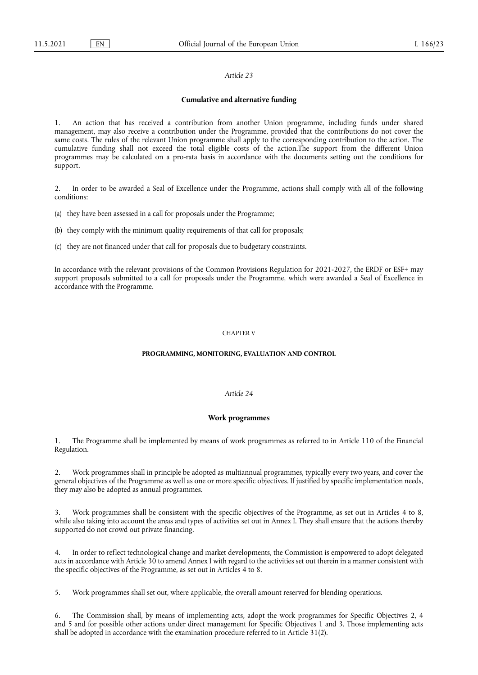#### **Cumulative and alternative funding**

1. An action that has received a contribution from another Union programme, including funds under shared management, may also receive a contribution under the Programme, provided that the contributions do not cover the same costs. The rules of the relevant Union programme shall apply to the corresponding contribution to the action. The cumulative funding shall not exceed the total eligible costs of the action.The support from the different Union programmes may be calculated on a pro-rata basis in accordance with the documents setting out the conditions for support.

2. In order to be awarded a Seal of Excellence under the Programme, actions shall comply with all of the following conditions:

- (a) they have been assessed in a call for proposals under the Programme;
- (b) they comply with the minimum quality requirements of that call for proposals;
- (c) they are not financed under that call for proposals due to budgetary constraints.

In accordance with the relevant provisions of the Common Provisions Regulation for 2021-2027, the ERDF or ESF+ may support proposals submitted to a call for proposals under the Programme, which were awarded a Seal of Excellence in accordance with the Programme.

#### CHAPTER V

#### **PROGRAMMING, MONITORING, EVALUATION AND CONTROL**

## *Article 24*

## **Work programmes**

1. The Programme shall be implemented by means of work programmes as referred to in Article 110 of the Financial Regulation.

2. Work programmes shall in principle be adopted as multiannual programmes, typically every two years, and cover the general objectives of the Programme as well as one or more specific objectives. If justified by specific implementation needs, they may also be adopted as annual programmes.

3. Work programmes shall be consistent with the specific objectives of the Programme, as set out in Articles 4 to 8, while also taking into account the areas and types of activities set out in Annex I. They shall ensure that the actions thereby supported do not crowd out private financing.

4. In order to reflect technological change and market developments, the Commission is empowered to adopt delegated acts in accordance with Article 30 to amend Annex I with regard to the activities set out therein in a manner consistent with the specific objectives of the Programme, as set out in Articles 4 to 8.

5. Work programmes shall set out, where applicable, the overall amount reserved for blending operations.

6. The Commission shall, by means of implementing acts, adopt the work programmes for Specific Objectives 2, 4 and 5 and for possible other actions under direct management for Specific Objectives 1 and 3. Those implementing acts shall be adopted in accordance with the examination procedure referred to in Article 31(2).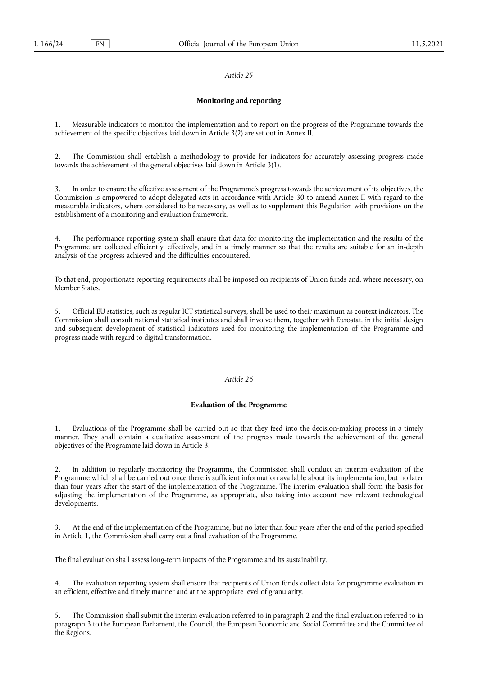## **Monitoring and reporting**

1. Measurable indicators to monitor the implementation and to report on the progress of the Programme towards the achievement of the specific objectives laid down in Article 3(2) are set out in Annex II.

The Commission shall establish a methodology to provide for indicators for accurately assessing progress made towards the achievement of the general objectives laid down in Article 3(1).

3. In order to ensure the effective assessment of the Programme's progress towards the achievement of its objectives, the Commission is empowered to adopt delegated acts in accordance with Article 30 to amend Annex II with regard to the measurable indicators, where considered to be necessary, as well as to supplement this Regulation with provisions on the establishment of a monitoring and evaluation framework.

4. The performance reporting system shall ensure that data for monitoring the implementation and the results of the Programme are collected efficiently, effectively, and in a timely manner so that the results are suitable for an in-depth analysis of the progress achieved and the difficulties encountered.

To that end, proportionate reporting requirements shall be imposed on recipients of Union funds and, where necessary, on Member States.

5. Official EU statistics, such as regular ICT statistical surveys, shall be used to their maximum as context indicators. The Commission shall consult national statistical institutes and shall involve them, together with Eurostat, in the initial design and subsequent development of statistical indicators used for monitoring the implementation of the Programme and progress made with regard to digital transformation.

#### *Article 26*

## **Evaluation of the Programme**

1. Evaluations of the Programme shall be carried out so that they feed into the decision-making process in a timely manner. They shall contain a qualitative assessment of the progress made towards the achievement of the general objectives of the Programme laid down in Article 3.

2. In addition to regularly monitoring the Programme, the Commission shall conduct an interim evaluation of the Programme which shall be carried out once there is sufficient information available about its implementation, but no later than four years after the start of the implementation of the Programme. The interim evaluation shall form the basis for adjusting the implementation of the Programme, as appropriate, also taking into account new relevant technological developments.

3. At the end of the implementation of the Programme, but no later than four years after the end of the period specified in Article 1, the Commission shall carry out a final evaluation of the Programme.

The final evaluation shall assess long-term impacts of the Programme and its sustainability.

4. The evaluation reporting system shall ensure that recipients of Union funds collect data for programme evaluation in an efficient, effective and timely manner and at the appropriate level of granularity.

5. The Commission shall submit the interim evaluation referred to in paragraph 2 and the final evaluation referred to in paragraph 3 to the European Parliament, the Council, the European Economic and Social Committee and the Committee of the Regions.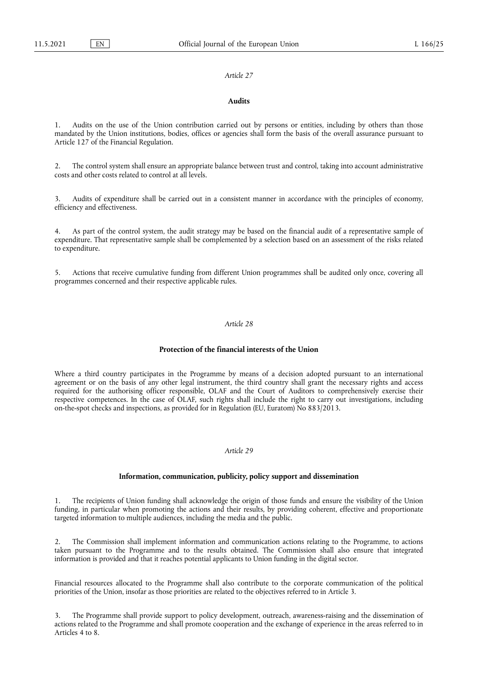#### **Audits**

Audits on the use of the Union contribution carried out by persons or entities, including by others than those mandated by the Union institutions, bodies, offices or agencies shall form the basis of the overall assurance pursuant to Article 127 of the Financial Regulation.

2. The control system shall ensure an appropriate balance between trust and control, taking into account administrative costs and other costs related to control at all levels.

Audits of expenditure shall be carried out in a consistent manner in accordance with the principles of economy, efficiency and effectiveness.

As part of the control system, the audit strategy may be based on the financial audit of a representative sample of expenditure. That representative sample shall be complemented by a selection based on an assessment of the risks related to expenditure.

5. Actions that receive cumulative funding from different Union programmes shall be audited only once, covering all programmes concerned and their respective applicable rules.

#### *Article 28*

## **Protection of the financial interests of the Union**

Where a third country participates in the Programme by means of a decision adopted pursuant to an international agreement or on the basis of any other legal instrument, the third country shall grant the necessary rights and access required for the authorising officer responsible, OLAF and the Court of Auditors to comprehensively exercise their respective competences. In the case of OLAF, such rights shall include the right to carry out investigations, including on-the-spot checks and inspections, as provided for in Regulation (EU, Euratom) No 883/2013.

## *Article 29*

#### **Information, communication, publicity, policy support and dissemination**

1. The recipients of Union funding shall acknowledge the origin of those funds and ensure the visibility of the Union funding, in particular when promoting the actions and their results, by providing coherent, effective and proportionate targeted information to multiple audiences, including the media and the public.

2. The Commission shall implement information and communication actions relating to the Programme, to actions taken pursuant to the Programme and to the results obtained. The Commission shall also ensure that integrated information is provided and that it reaches potential applicants to Union funding in the digital sector.

Financial resources allocated to the Programme shall also contribute to the corporate communication of the political priorities of the Union, insofar as those priorities are related to the objectives referred to in Article 3.

The Programme shall provide support to policy development, outreach, awareness-raising and the dissemination of actions related to the Programme and shall promote cooperation and the exchange of experience in the areas referred to in Articles 4 to 8.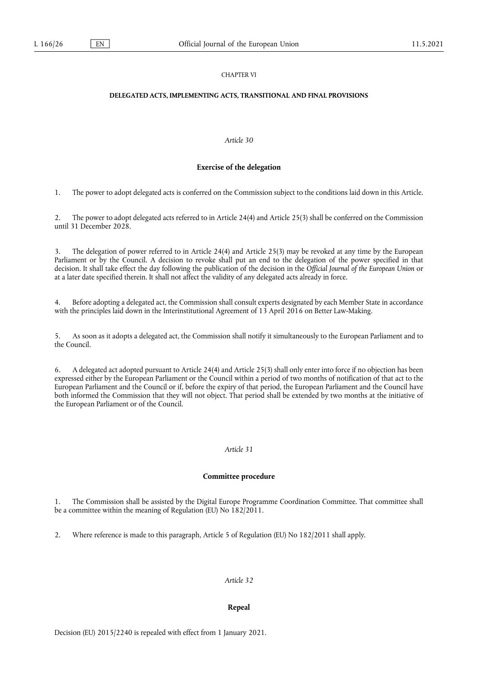## CHAPTER VI

## **DELEGATED ACTS, IMPLEMENTING ACTS, TRANSITIONAL AND FINAL PROVISIONS**

## *Article 30*

## **Exercise of the delegation**

1. The power to adopt delegated acts is conferred on the Commission subject to the conditions laid down in this Article.

2. The power to adopt delegated acts referred to in Article 24(4) and Article 25(3) shall be conferred on the Commission until 31 December 2028.

3. The delegation of power referred to in Article 24(4) and Article 25(3) may be revoked at any time by the European Parliament or by the Council. A decision to revoke shall put an end to the delegation of the power specified in that decision. It shall take effect the day following the publication of the decision in the *Official Journal of the European Union* or at a later date specified therein. It shall not affect the validity of any delegated acts already in force.

4. Before adopting a delegated act, the Commission shall consult experts designated by each Member State in accordance with the principles laid down in the Interinstitutional Agreement of 13 April 2016 on Better Law-Making.

5. As soon as it adopts a delegated act, the Commission shall notify it simultaneously to the European Parliament and to the Council.

6. A delegated act adopted pursuant to Article 24(4) and Article 25(3) shall only enter into force if no objection has been expressed either by the European Parliament or the Council within a period of two months of notification of that act to the European Parliament and the Council or if, before the expiry of that period, the European Parliament and the Council have both informed the Commission that they will not object. That period shall be extended by two months at the initiative of the European Parliament or of the Council.

#### *Article 31*

## **Committee procedure**

1. The Commission shall be assisted by the Digital Europe Programme Coordination Committee. That committee shall be a committee within the meaning of Regulation (EU) No 182/2011.

2. Where reference is made to this paragraph, Article 5 of Regulation (EU) No 182/2011 shall apply.

#### *Article 32*

## **Repeal**

Decision (EU) 2015/2240 is repealed with effect from 1 January 2021.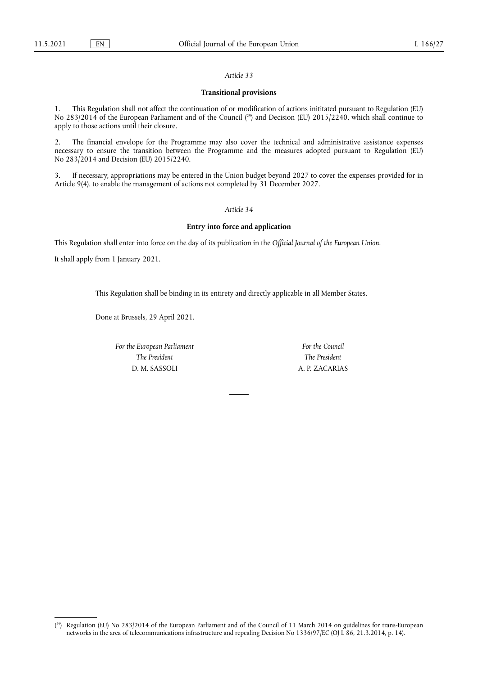## **Transitional provisions**

1. This Regulation shall not affect the continuation of or modification of actions inititated pursuant to Regulation (EU) No 283/2014 of the European Parliament and of the Council ( 29) and Decision (EU) 2015/2240, which shall continue to apply to those actions until their closure.

2. The financial envelope for the Programme may also cover the technical and administrative assistance expenses necessary to ensure the transition between the Programme and the measures adopted pursuant to Regulation (EU) No 283/2014 and Decision (EU) 2015/2240.

3. If necessary, appropriations may be entered in the Union budget beyond 2027 to cover the expenses provided for in Article 9(4), to enable the management of actions not completed by 31 December 2027.

## *Article 34*

#### **Entry into force and application**

This Regulation shall enter into force on the day of its publication in the *Official Journal of the European Union*.

It shall apply from 1 January 2021.

This Regulation shall be binding in its entirety and directly applicable in all Member States.

Done at Brussels, 29 April 2021.

*For the European Parliament The President* D. M. SASSOLI

*For the Council The President* A. P. ZACARIAS

<sup>(</sup> 29) Regulation (EU) No 283/2014 of the European Parliament and of the Council of 11 March 2014 on guidelines for trans-European networks in the area of telecommunications infrastructure and repealing Decision No 1336/97/EC (OJ L 86, 21.3.2014, p. 14).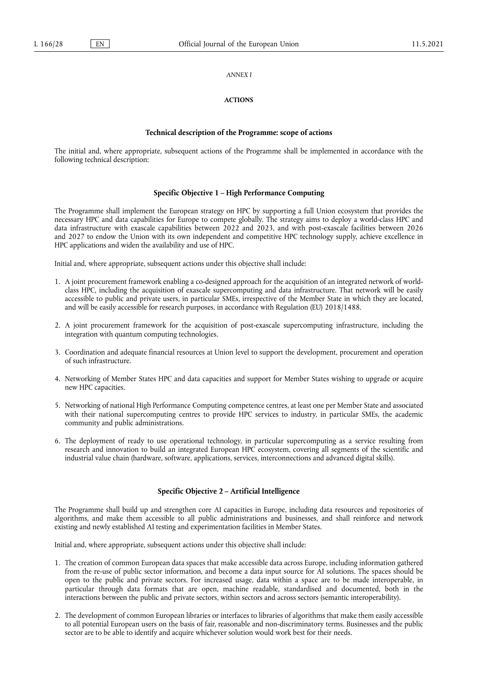#### *ANNEX I*

## **ACTIONS**

#### **Technical description of the Programme: scope of actions**

The initial and, where appropriate, subsequent actions of the Programme shall be implemented in accordance with the following technical description:

#### **Specific Objective 1 – High Performance Computing**

The Programme shall implement the European strategy on HPC by supporting a full Union ecosystem that provides the necessary HPC and data capabilities for Europe to compete globally. The strategy aims to deploy a world-class HPC and data infrastructure with exascale capabilities between 2022 and 2023, and with post-exascale facilities between 2026 and 2027 to endow the Union with its own independent and competitive HPC technology supply, achieve excellence in HPC applications and widen the availability and use of HPC.

Initial and, where appropriate, subsequent actions under this objective shall include:

- 1. A joint procurement framework enabling a co-designed approach for the acquisition of an integrated network of worldclass HPC, including the acquisition of exascale supercomputing and data infrastructure. That network will be easily accessible to public and private users, in particular SMEs, irrespective of the Member State in which they are located, and will be easily accessible for research purposes, in accordance with Regulation (EU) 2018/1488.
- 2. A joint procurement framework for the acquisition of post-exascale supercomputing infrastructure, including the integration with quantum computing technologies.
- 3. Coordination and adequate financial resources at Union level to support the development, procurement and operation of such infrastructure.
- 4. Networking of Member States HPC and data capacities and support for Member States wishing to upgrade or acquire new HPC capacities.
- 5. Networking of national High Performance Computing competence centres, at least one per Member State and associated with their national supercomputing centres to provide HPC services to industry, in particular SMEs, the academic community and public administrations.
- 6. The deployment of ready to use operational technology, in particular supercomputing as a service resulting from research and innovation to build an integrated European HPC ecosystem, covering all segments of the scientific and industrial value chain (hardware, software, applications, services, interconnections and advanced digital skills).

## **Specific Objective 2 – Artificial Intelligence**

The Programme shall build up and strengthen core AI capacities in Europe, including data resources and repositories of algorithms, and make them accessible to all public administrations and businesses, and shall reinforce and network existing and newly established AI testing and experimentation facilities in Member States.

Initial and, where appropriate, subsequent actions under this objective shall include:

- 1. The creation of common European data spaces that make accessible data across Europe, including information gathered from the re-use of public sector information, and become a data input source for AI solutions. The spaces should be open to the public and private sectors. For increased usage, data within a space are to be made interoperable, in particular through data formats that are open, machine readable, standardised and documented, both in the interactions between the public and private sectors, within sectors and across sectors (semantic interoperability).
- 2. The development of common European libraries or interfaces to libraries of algorithms that make them easily accessible to all potential European users on the basis of fair, reasonable and non-discriminatory terms. Businesses and the public sector are to be able to identify and acquire whichever solution would work best for their needs.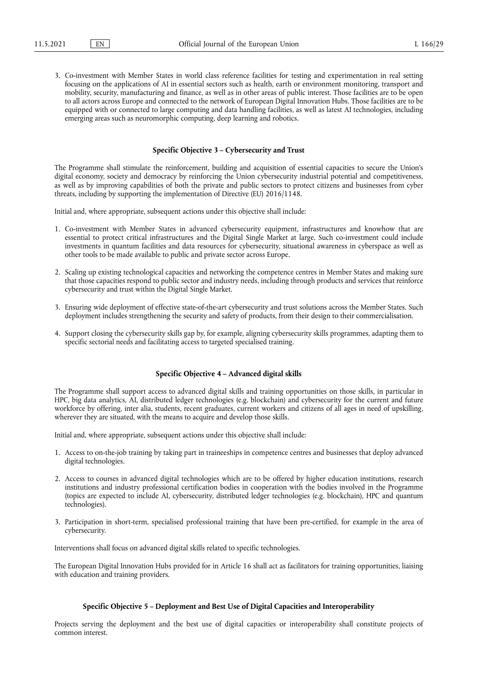3. Co-investment with Member States in world class reference facilities for testing and experimentation in real setting focusing on the applications of AI in essential sectors such as health, earth or environment monitoring, transport and mobility, security, manufacturing and finance, as well as in other areas of public interest. Those facilities are to be open to all actors across Europe and connected to the network of European Digital Innovation Hubs. Those facilities are to be equipped with or connected to large computing and data handling facilities, as well as latest AI technologies, including emerging areas such as neuromorphic computing, deep learning and robotics.

#### **Specific Objective 3 – Cybersecurity and Trust**

The Programme shall stimulate the reinforcement, building and acquisition of essential capacities to secure the Union's digital economy, society and democracy by reinforcing the Union cybersecurity industrial potential and competitiveness, as well as by improving capabilities of both the private and public sectors to protect citizens and businesses from cyber threats, including by supporting the implementation of Directive (EU) 2016/1148.

Initial and, where appropriate, subsequent actions under this objective shall include:

- 1. Co-investment with Member States in advanced cybersecurity equipment, infrastructures and knowhow that are essential to protect critical infrastructures and the Digital Single Market at large. Such co-investment could include investments in quantum facilities and data resources for cybersecurity, situational awareness in cyberspace as well as other tools to be made available to public and private sector across Europe.
- 2. Scaling up existing technological capacities and networking the competence centres in Member States and making sure that those capacities respond to public sector and industry needs, including through products and services that reinforce cybersecurity and trust within the Digital Single Market.
- 3. Ensuring wide deployment of effective state-of-the-art cybersecurity and trust solutions across the Member States. Such deployment includes strengthening the security and safety of products, from their design to their commercialisation.
- 4. Support closing the cybersecurity skills gap by, for example, aligning cybersecurity skills programmes, adapting them to specific sectorial needs and facilitating access to targeted specialised training.

## **Specific Objective 4 – Advanced digital skills**

The Programme shall support access to advanced digital skills and training opportunities on those skills, in particular in HPC, big data analytics, AI, distributed ledger technologies (e.g. blockchain) and cybersecurity for the current and future workforce by offering, inter alia, students, recent graduates, current workers and citizens of all ages in need of upskilling, wherever they are situated, with the means to acquire and develop those skills.

Initial and, where appropriate, subsequent actions under this objective shall include:

- 1. Access to on-the-job training by taking part in traineeships in competence centres and businesses that deploy advanced digital technologies.
- 2. Access to courses in advanced digital technologies which are to be offered by higher education institutions, research institutions and industry professional certification bodies in cooperation with the bodies involved in the Programme (topics are expected to include AI, cybersecurity, distributed ledger technologies (e.g. blockchain), HPC and quantum technologies).
- 3. Participation in short-term, specialised professional training that have been pre-certified, for example in the area of cybersecurity.

Interventions shall focus on advanced digital skills related to specific technologies.

The European Digital Innovation Hubs provided for in Article 16 shall act as facilitators for training opportunities, liaising with education and training providers.

## **Specific Objective 5 – Deployment and Best Use of Digital Capacities and Interoperability**

Projects serving the deployment and the best use of digital capacities or interoperability shall constitute projects of common interest.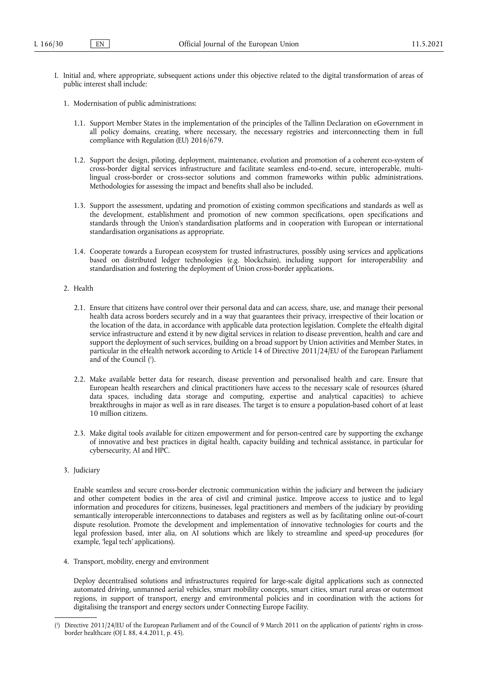- I. Initial and, where appropriate, subsequent actions under this objective related to the digital transformation of areas of public interest shall include:
	- 1. Modernisation of public administrations:
		- 1.1. Support Member States in the implementation of the principles of the Tallinn Declaration on eGovernment in all policy domains, creating, where necessary, the necessary registries and interconnecting them in full compliance with Regulation (EU) 2016/679.
		- 1.2. Support the design, piloting, deployment, maintenance, evolution and promotion of a coherent eco-system of cross-border digital services infrastructure and facilitate seamless end-to-end, secure, interoperable, multilingual cross-border or cross-sector solutions and common frameworks within public administrations. Methodologies for assessing the impact and benefits shall also be included.
		- 1.3. Support the assessment, updating and promotion of existing common specifications and standards as well as the development, establishment and promotion of new common specifications, open specifications and standards through the Union's standardisation platforms and in cooperation with European or international standardisation organisations as appropriate.
		- 1.4. Cooperate towards a European ecosystem for trusted infrastructures, possibly using services and applications based on distributed ledger technologies (e.g. blockchain), including support for interoperability and standardisation and fostering the deployment of Union cross-border applications.

#### 2. Health

- 2.1. Ensure that citizens have control over their personal data and can access, share, use, and manage their personal health data across borders securely and in a way that guarantees their privacy, irrespective of their location or the location of the data, in accordance with applicable data protection legislation. Complete the eHealth digital service infrastructure and extend it by new digital services in relation to disease prevention, health and care and support the deployment of such services, building on a broad support by Union activities and Member States, in particular in the eHealth network according to Article 14 of Directive 2011/24/EU of the European Parliament and of the Council ( 1 ).
- 2.2. Make available better data for research, disease prevention and personalised health and care. Ensure that European health researchers and clinical practitioners have access to the necessary scale of resources (shared data spaces, including data storage and computing, expertise and analytical capacities) to achieve breakthroughs in major as well as in rare diseases. The target is to ensure a population-based cohort of at least 10 million citizens.
- 2.3. Make digital tools available for citizen empowerment and for person-centred care by supporting the exchange of innovative and best practices in digital health, capacity building and technical assistance, in particular for cybersecurity, AI and HPC.
- 3. Judiciary

Enable seamless and secure cross-border electronic communication within the judiciary and between the judiciary and other competent bodies in the area of civil and criminal justice. Improve access to justice and to legal information and procedures for citizens, businesses, legal practitioners and members of the judiciary by providing semantically interoperable interconnections to databases and registers as well as by facilitating online out-of-court dispute resolution. Promote the development and implementation of innovative technologies for courts and the legal profession based, inter alia, on AI solutions which are likely to streamline and speed-up procedures (for example, 'legal tech' applications).

4. Transport, mobility, energy and environment

Deploy decentralised solutions and infrastructures required for large-scale digital applications such as connected automated driving, unmanned aerial vehicles, smart mobility concepts, smart cities, smart rural areas or outermost regions, in support of transport, energy and environmental policies and in coordination with the actions for digitalising the transport and energy sectors under Connecting Europe Facility.

<sup>(</sup> 1 ) Directive 2011/24/EU of the European Parliament and of the Council of 9 March 2011 on the application of patients' rights in crossborder healthcare (OJ L 88, 4.4.2011, p. 45).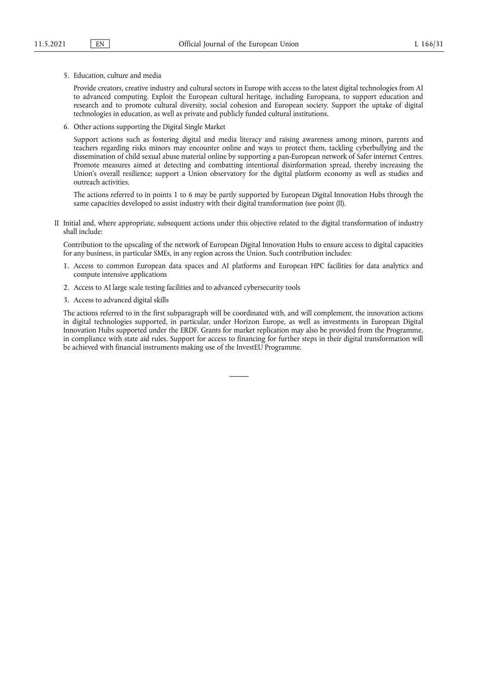5. Education, culture and media

Provide creators, creative industry and cultural sectors in Europe with access to the latest digital technologies from AI to advanced computing. Exploit the European cultural heritage, including Europeana, to support education and research and to promote cultural diversity, social cohesion and European society. Support the uptake of digital technologies in education, as well as private and publicly funded cultural institutions.

6. Other actions supporting the Digital Single Market

Support actions such as fostering digital and media literacy and raising awareness among minors, parents and teachers regarding risks minors may encounter online and ways to protect them, tackling cyberbullying and the dissemination of child sexual abuse material online by supporting a pan-European network of Safer internet Centres. Promote measures aimed at detecting and combatting intentional disinformation spread, thereby increasing the Union's overall resilience; support a Union observatory for the digital platform economy as well as studies and outreach activities.

The actions referred to in points 1 to 6 may be partly supported by European Digital Innovation Hubs through the same capacities developed to assist industry with their digital transformation (see point (II).

II Initial and, where appropriate, subsequent actions under this objective related to the digital transformation of industry shall include:

Contribution to the upscaling of the network of European Digital Innovation Hubs to ensure access to digital capacities for any business, in particular SMEs, in any region across the Union. Such contribution includes:

- 1. Access to common European data spaces and AI platforms and European HPC facilities for data analytics and compute intensive applications
- 2. Access to AI large scale testing facilities and to advanced cybersecurity tools
- 3. Access to advanced digital skills

The actions referred to in the first subparagraph will be coordinated with, and will complement, the innovation actions in digital technologies supported, in particular, under Horizon Europe, as well as investments in European Digital Innovation Hubs supported under the ERDF. Grants for market replication may also be provided from the Programme, in compliance with state aid rules. Support for access to financing for further steps in their digital transformation will be achieved with financial instruments making use of the InvestEU Programme.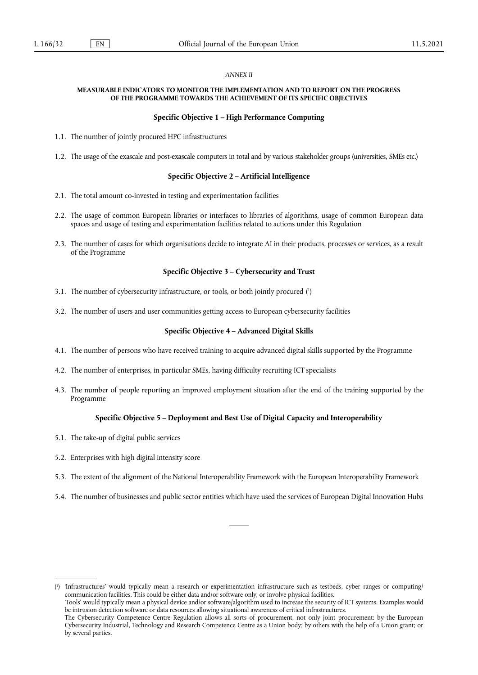#### *ANNEX II*

#### **MEASURABLE INDICATORS TO MONITOR THE IMPLEMENTATION AND TO REPORT ON THE PROGRESS OF THE PROGRAMME TOWARDS THE ACHIEVEMENT OF ITS SPECIFIC OBJECTIVES**

#### **Specific Objective 1 – High Performance Computing**

- 1.1. The number of jointly procured HPC infrastructures
- 1.2. The usage of the exascale and post-exascale computers in total and by various stakeholder groups (universities, SMEs etc.)

#### **Specific Objective 2 – Artificial Intelligence**

- 2.1. The total amount co-invested in testing and experimentation facilities
- 2.2. The usage of common European libraries or interfaces to libraries of algorithms, usage of common European data spaces and usage of testing and experimentation facilities related to actions under this Regulation
- 2.3. The number of cases for which organisations decide to integrate AI in their products, processes or services, as a result of the Programme

#### **Specific Objective 3 – Cybersecurity and Trust**

- 3.1. The number of cybersecurity infrastructure, or tools, or both jointly procured ( 1 )
- 3.2. The number of users and user communities getting access to European cybersecurity facilities

#### **Specific Objective 4 – Advanced Digital Skills**

- 4.1. The number of persons who have received training to acquire advanced digital skills supported by the Programme
- 4.2. The number of enterprises, in particular SMEs, having difficulty recruiting ICT specialists
- 4.3. The number of people reporting an improved employment situation after the end of the training supported by the Programme

## **Specific Objective 5 – Deployment and Best Use of Digital Capacity and Interoperability**

- 5.1. The take-up of digital public services
- 5.2. Enterprises with high digital intensity score
- 5.3. The extent of the alignment of the National Interoperability Framework with the European Interoperability Framework
- 5.4. The number of businesses and public sector entities which have used the services of European Digital Innovation Hubs

( 1 ) 'Infrastructures' would typically mean a research or experimentation infrastructure such as testbeds, cyber ranges or computing/ communication facilities. This could be either data and/or software only, or involve physical facilities.

'Tools' would typically mean a physical device and/or software/algorithm used to increase the security of ICT systems. Examples would be intrusion detection software or data resources allowing situational awareness of critical infrastructures.

The Cybersecurity Competence Centre Regulation allows all sorts of procurement, not only joint procurement: by the European Cybersecurity Industrial, Technology and Research Competence Centre as a Union body; by others with the help of a Union grant; or by several parties.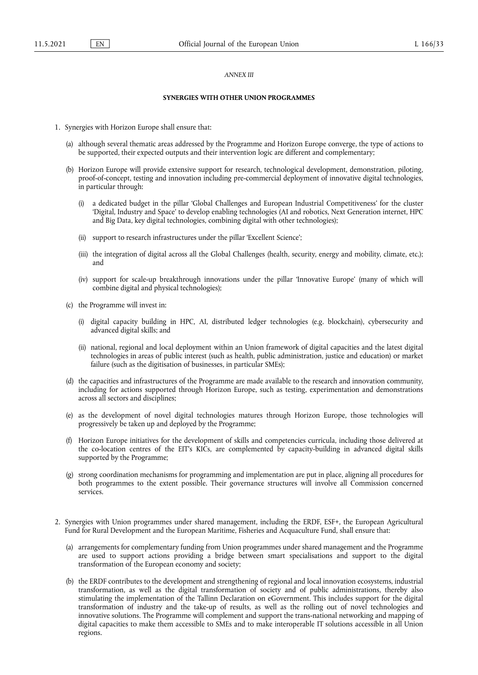#### *ANNEX III*

## **SYNERGIES WITH OTHER UNION PROGRAMMES**

- 1. Synergies with Horizon Europe shall ensure that:
	- (a) although several thematic areas addressed by the Programme and Horizon Europe converge, the type of actions to be supported, their expected outputs and their intervention logic are different and complementary;
	- (b) Horizon Europe will provide extensive support for research, technological development, demonstration, piloting, proof-of-concept, testing and innovation including pre-commercial deployment of innovative digital technologies, in particular through:
		- a dedicated budget in the pillar 'Global Challenges and European Industrial Competitiveness' for the cluster 'Digital, Industry and Space' to develop enabling technologies (AI and robotics, Next Generation internet, HPC and Big Data, key digital technologies, combining digital with other technologies);
		- (ii) support to research infrastructures under the pillar 'Excellent Science';
		- (iii) the integration of digital across all the Global Challenges (health, security, energy and mobility, climate, etc.); and
		- (iv) support for scale-up breakthrough innovations under the pillar 'Innovative Europe' (many of which will combine digital and physical technologies);
	- (c) the Programme will invest in:
		- (i) digital capacity building in HPC, AI, distributed ledger technologies (e.g. blockchain), cybersecurity and advanced digital skills; and
		- (ii) national, regional and local deployment within an Union framework of digital capacities and the latest digital technologies in areas of public interest (such as health, public administration, justice and education) or market failure (such as the digitisation of businesses, in particular SMEs);
	- (d) the capacities and infrastructures of the Programme are made available to the research and innovation community, including for actions supported through Horizon Europe, such as testing, experimentation and demonstrations across all sectors and disciplines;
	- (e) as the development of novel digital technologies matures through Horizon Europe, those technologies will progressively be taken up and deployed by the Programme;
	- (f) Horizon Europe initiatives for the development of skills and competencies curricula, including those delivered at the co-location centres of the EIT's KICs, are complemented by capacity-building in advanced digital skills supported by the Programme;
	- (g) strong coordination mechanisms for programming and implementation are put in place, aligning all procedures for both programmes to the extent possible. Their governance structures will involve all Commission concerned services.
- 2. Synergies with Union programmes under shared management, including the ERDF, ESF+, the European Agricultural Fund for Rural Development and the European Maritime, Fisheries and Acquaculture Fund, shall ensure that:
	- (a) arrangements for complementary funding from Union programmes under shared management and the Programme are used to support actions providing a bridge between smart specialisations and support to the digital transformation of the European economy and society;
	- (b) the ERDF contributes to the development and strengthening of regional and local innovation ecosystems, industrial transformation, as well as the digital transformation of society and of public administrations, thereby also stimulating the implementation of the Tallinn Declaration on eGovernment. This includes support for the digital transformation of industry and the take-up of results, as well as the rolling out of novel technologies and innovative solutions. The Programme will complement and support the trans-national networking and mapping of digital capacities to make them accessible to SMEs and to make interoperable IT solutions accessible in all Union regions.